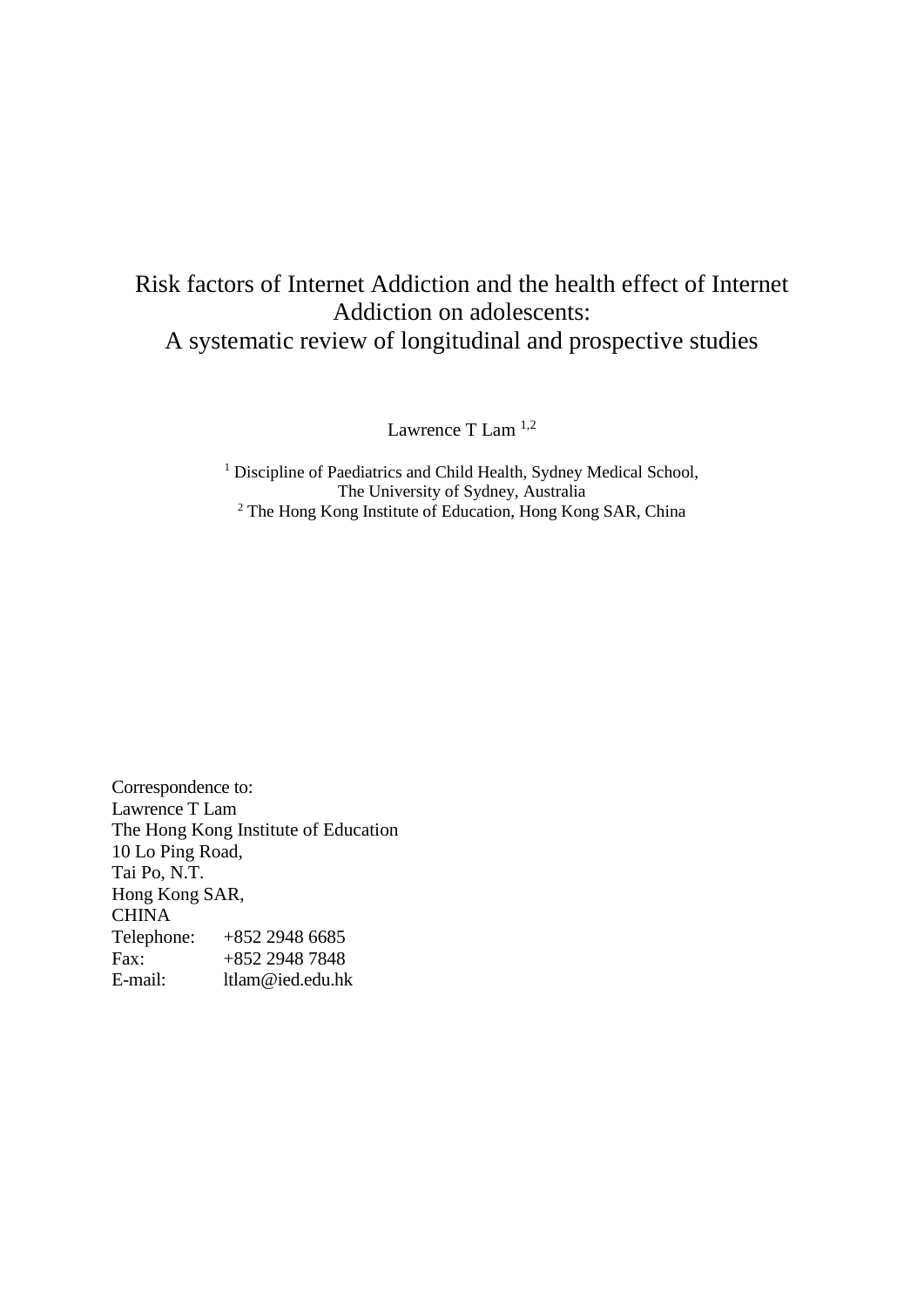# Risk factors of Internet Addiction and the health effect of Internet Addiction on adolescents: A systematic review of longitudinal and prospective studies

Lawrence T Lam  $^{1,2}$ 

<sup>1</sup> Discipline of Paediatrics and Child Health, Sydney Medical School, The University of Sydney, Australia <sup>2</sup> The Hong Kong Institute of Education, Hong Kong SAR, China

Correspondence to: Lawrence T Lam The Hong Kong Institute of Education 10 Lo Ping Road, Tai Po, N.T. Hong Kong SAR, **CHINA** Telephone: +852 2948 6685 Fax: +852 2948 7848<br>E-mail: Itlam@ied.edu.hk ltlam@ied.edu.hk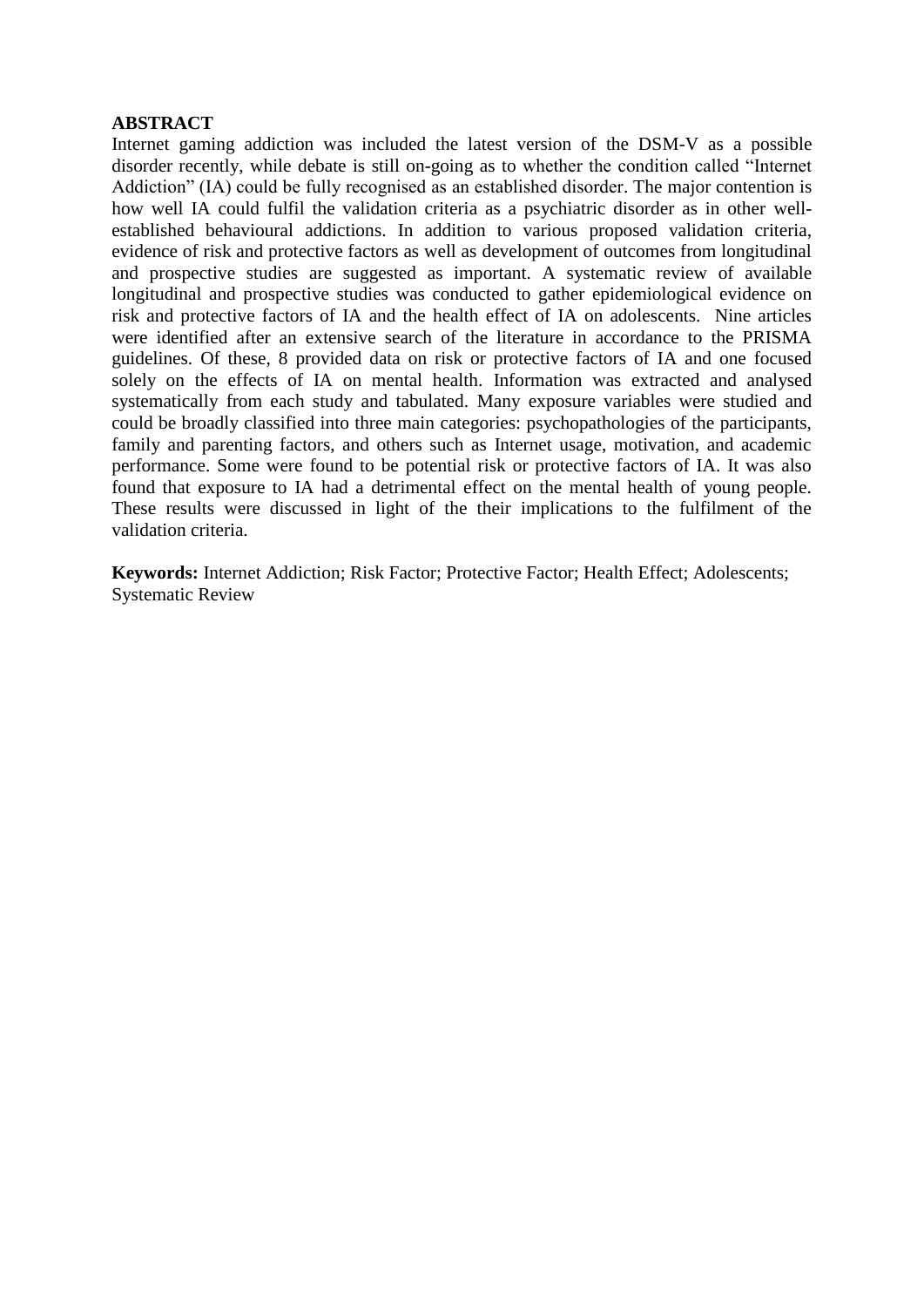#### **ABSTRACT**

Internet gaming addiction was included the latest version of the DSM-V as a possible disorder recently, while debate is still on-going as to whether the condition called "Internet Addiction" (IA) could be fully recognised as an established disorder. The major contention is how well IA could fulfil the validation criteria as a psychiatric disorder as in other wellestablished behavioural addictions. In addition to various proposed validation criteria, evidence of risk and protective factors as well as development of outcomes from longitudinal and prospective studies are suggested as important. A systematic review of available longitudinal and prospective studies was conducted to gather epidemiological evidence on risk and protective factors of IA and the health effect of IA on adolescents. Nine articles were identified after an extensive search of the literature in accordance to the PRISMA guidelines. Of these, 8 provided data on risk or protective factors of IA and one focused solely on the effects of IA on mental health. Information was extracted and analysed systematically from each study and tabulated. Many exposure variables were studied and could be broadly classified into three main categories: psychopathologies of the participants, family and parenting factors, and others such as Internet usage, motivation, and academic performance. Some were found to be potential risk or protective factors of IA. It was also found that exposure to IA had a detrimental effect on the mental health of young people. These results were discussed in light of the their implications to the fulfilment of the validation criteria.

**Keywords:** Internet Addiction; Risk Factor; Protective Factor; Health Effect; Adolescents; Systematic Review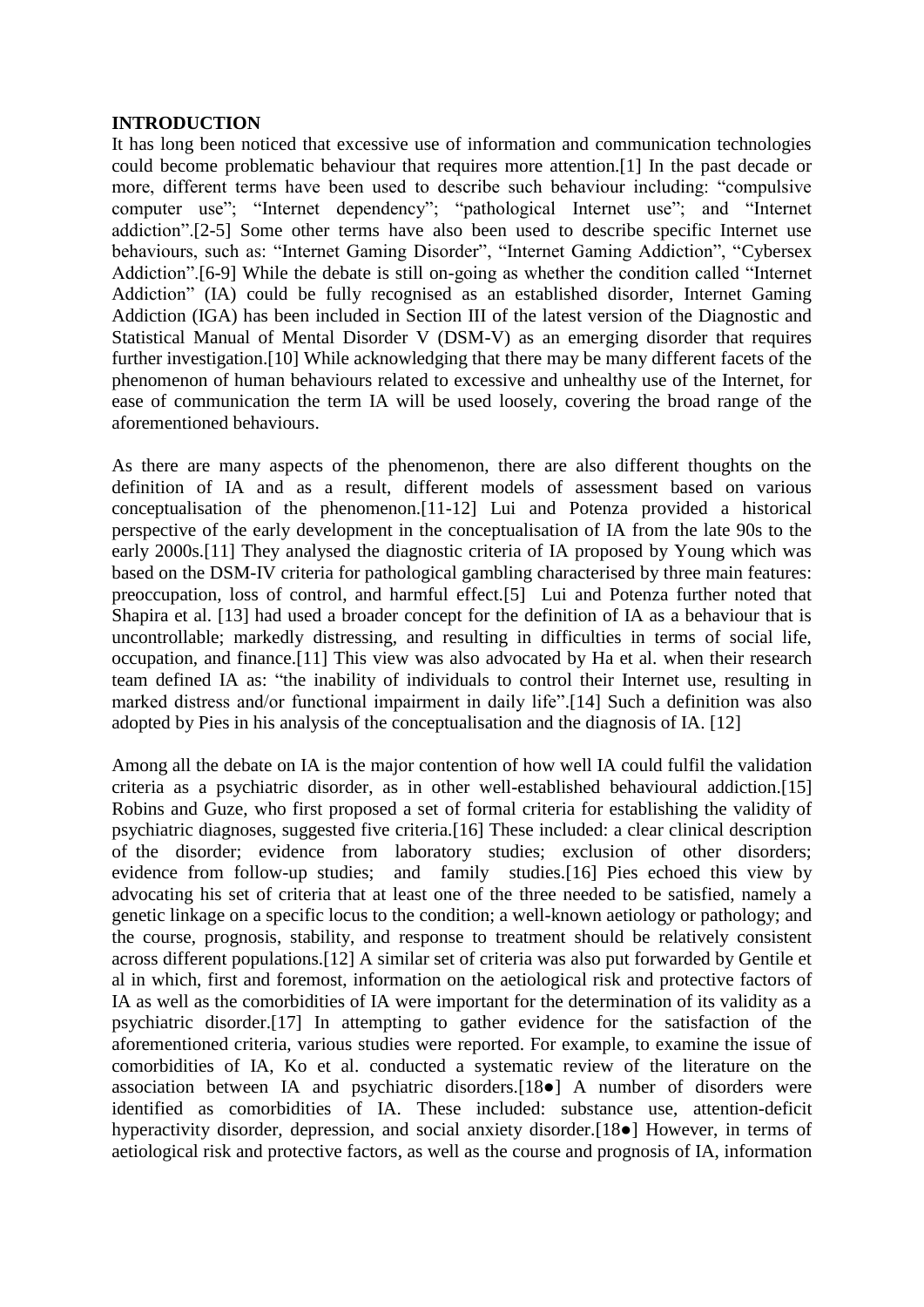## **INTRODUCTION**

It has long been noticed that excessive use of information and communication technologies could become problematic behaviour that requires more attention.[1] In the past decade or more, different terms have been used to describe such behaviour including: "compulsive computer use"; "Internet dependency"; "pathological Internet use"; and "Internet addiction".[2-5] Some other terms have also been used to describe specific Internet use behaviours, such as: "Internet Gaming Disorder", "Internet Gaming Addiction", "Cybersex Addiction".[6-9] While the debate is still on-going as whether the condition called "Internet Addiction" (IA) could be fully recognised as an established disorder, Internet Gaming Addiction (IGA) has been included in Section III of the latest version of the Diagnostic and Statistical Manual of Mental Disorder V (DSM-V) as an emerging disorder that requires further investigation.[10] While acknowledging that there may be many different facets of the phenomenon of human behaviours related to excessive and unhealthy use of the Internet, for ease of communication the term IA will be used loosely, covering the broad range of the aforementioned behaviours.

As there are many aspects of the phenomenon, there are also different thoughts on the definition of IA and as a result, different models of assessment based on various conceptualisation of the phenomenon.[11-12] Lui and Potenza provided a historical perspective of the early development in the conceptualisation of IA from the late 90s to the early 2000s.[11] They analysed the diagnostic criteria of IA proposed by Young which was based on the DSM-IV criteria for pathological gambling characterised by three main features: preoccupation, loss of control, and harmful effect.[5] Lui and Potenza further noted that Shapira et al. [13] had used a broader concept for the definition of IA as a behaviour that is uncontrollable; markedly distressing, and resulting in difficulties in terms of social life, occupation, and finance.[11] This view was also advocated by Ha et al. when their research team defined IA as: "the inability of individuals to control their Internet use, resulting in marked distress and/or functional impairment in daily life".[14] Such a definition was also adopted by Pies in his analysis of the conceptualisation and the diagnosis of IA. [12]

Among all the debate on IA is the major contention of how well IA could fulfil the validation criteria as a psychiatric disorder, as in other well-established behavioural addiction.[15] Robins and Guze, who first proposed a set of formal criteria for establishing the validity of psychiatric diagnoses, suggested five criteria.[16] These included: a clear clinical description of the disorder; evidence from laboratory studies; exclusion of other disorders; evidence from follow-up studies; and family studies.[16] Pies echoed this view by advocating his set of criteria that at least one of the three needed to be satisfied, namely a genetic linkage on a specific locus to the condition; a well-known aetiology or pathology; and the course, prognosis, stability, and response to treatment should be relatively consistent across different populations.[12] A similar set of criteria was also put forwarded by Gentile et al in which, first and foremost, information on the aetiological risk and protective factors of IA as well as the comorbidities of IA were important for the determination of its validity as a psychiatric disorder.[17] In attempting to gather evidence for the satisfaction of the aforementioned criteria, various studies were reported. For example, to examine the issue of comorbidities of IA, Ko et al. conducted a systematic review of the literature on the association between IA and psychiatric disorders.[18●] A number of disorders were identified as comorbidities of IA. These included: substance use, attention-deficit hyperactivity disorder, depression, and social anxiety disorder.<sup>[18]</sup> However, in terms of aetiological risk and protective factors, as well as the course and prognosis of IA, information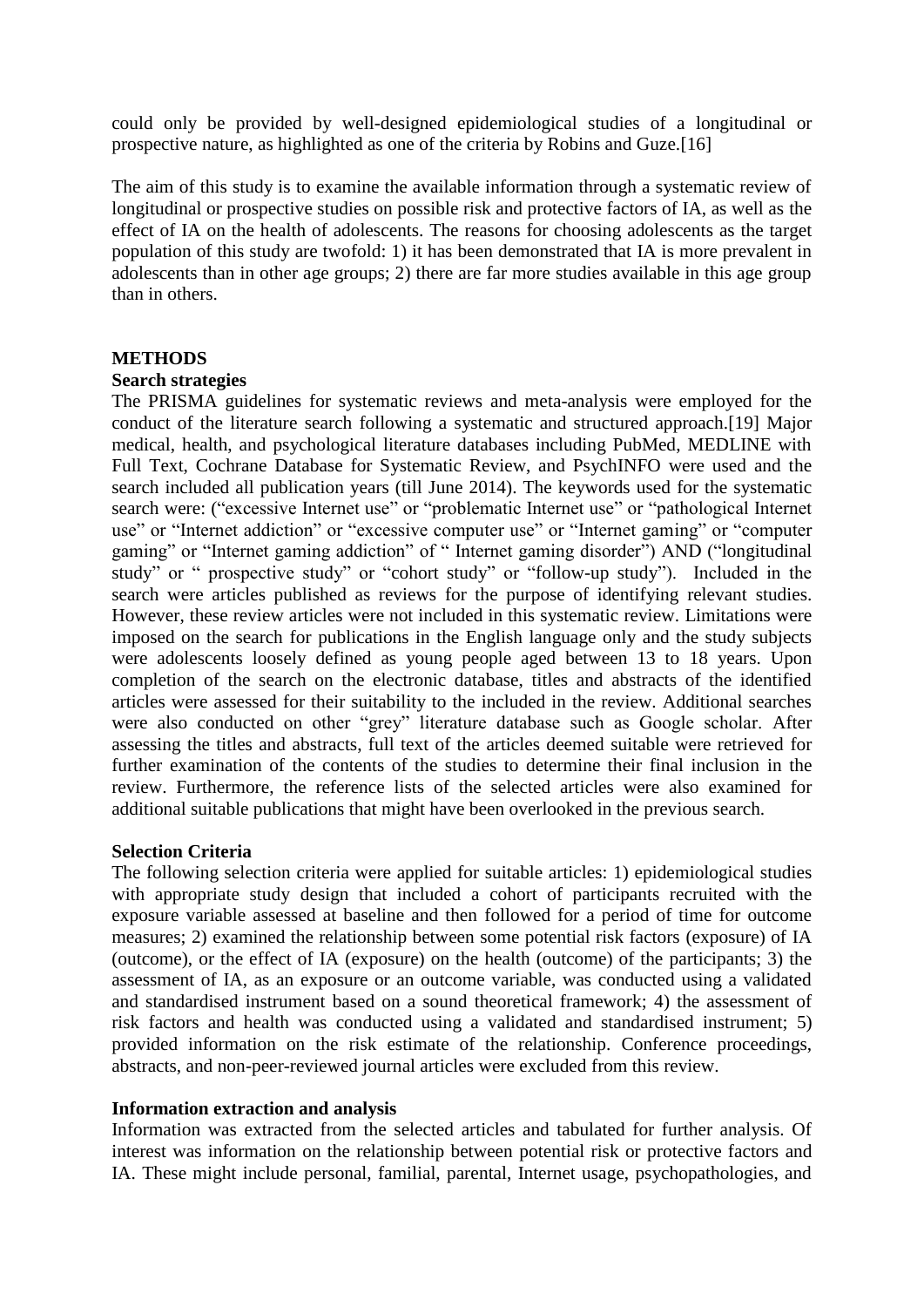could only be provided by well-designed epidemiological studies of a longitudinal or prospective nature, as highlighted as one of the criteria by Robins and Guze.[16]

The aim of this study is to examine the available information through a systematic review of longitudinal or prospective studies on possible risk and protective factors of IA, as well as the effect of IA on the health of adolescents. The reasons for choosing adolescents as the target population of this study are twofold: 1) it has been demonstrated that IA is more prevalent in adolescents than in other age groups; 2) there are far more studies available in this age group than in others.

#### **METHODS**

#### **Search strategies**

The PRISMA guidelines for systematic reviews and meta-analysis were employed for the conduct of the literature search following a systematic and structured approach.[19] Major medical, health, and psychological literature databases including PubMed, MEDLINE with Full Text, Cochrane Database for Systematic Review, and PsychINFO were used and the search included all publication years (till June 2014). The keywords used for the systematic search were: ("excessive Internet use" or "problematic Internet use" or "pathological Internet use" or "Internet addiction" or "excessive computer use" or "Internet gaming" or "computer gaming" or "Internet gaming addiction" of " Internet gaming disorder") AND ("longitudinal study" or " prospective study" or "cohort study" or "follow-up study"). Included in the search were articles published as reviews for the purpose of identifying relevant studies. However, these review articles were not included in this systematic review. Limitations were imposed on the search for publications in the English language only and the study subjects were adolescents loosely defined as young people aged between 13 to 18 years. Upon completion of the search on the electronic database, titles and abstracts of the identified articles were assessed for their suitability to the included in the review. Additional searches were also conducted on other "grey" literature database such as Google scholar. After assessing the titles and abstracts, full text of the articles deemed suitable were retrieved for further examination of the contents of the studies to determine their final inclusion in the review. Furthermore, the reference lists of the selected articles were also examined for additional suitable publications that might have been overlooked in the previous search.

#### **Selection Criteria**

The following selection criteria were applied for suitable articles: 1) epidemiological studies with appropriate study design that included a cohort of participants recruited with the exposure variable assessed at baseline and then followed for a period of time for outcome measures; 2) examined the relationship between some potential risk factors (exposure) of IA (outcome), or the effect of IA (exposure) on the health (outcome) of the participants; 3) the assessment of IA, as an exposure or an outcome variable, was conducted using a validated and standardised instrument based on a sound theoretical framework; 4) the assessment of risk factors and health was conducted using a validated and standardised instrument; 5) provided information on the risk estimate of the relationship. Conference proceedings, abstracts, and non-peer-reviewed journal articles were excluded from this review.

#### **Information extraction and analysis**

Information was extracted from the selected articles and tabulated for further analysis. Of interest was information on the relationship between potential risk or protective factors and IA. These might include personal, familial, parental, Internet usage, psychopathologies, and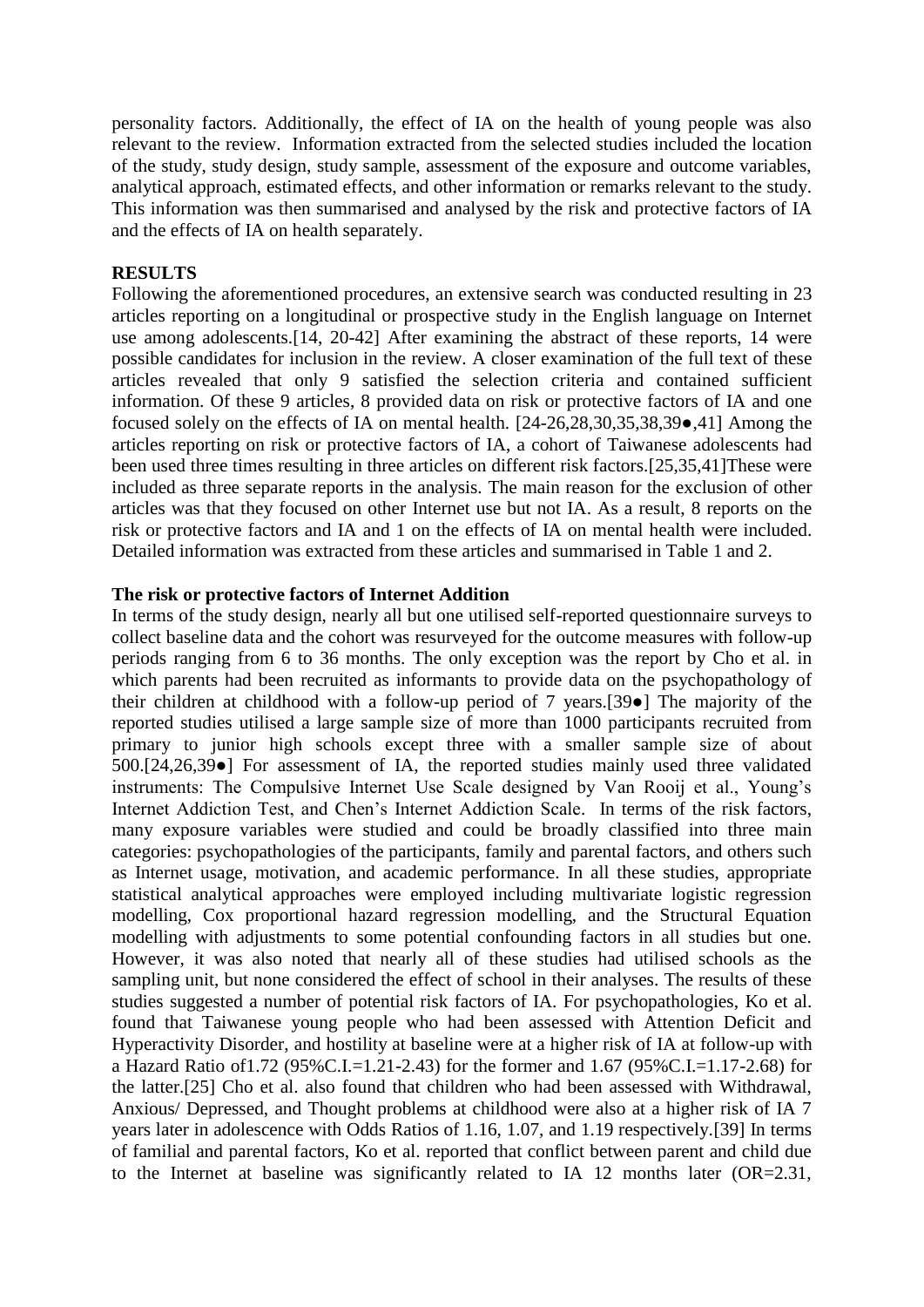personality factors. Additionally, the effect of IA on the health of young people was also relevant to the review. Information extracted from the selected studies included the location of the study, study design, study sample, assessment of the exposure and outcome variables, analytical approach, estimated effects, and other information or remarks relevant to the study. This information was then summarised and analysed by the risk and protective factors of IA and the effects of IA on health separately.

## **RESULTS**

Following the aforementioned procedures, an extensive search was conducted resulting in 23 articles reporting on a longitudinal or prospective study in the English language on Internet use among adolescents.[14, 20-42] After examining the abstract of these reports, 14 were possible candidates for inclusion in the review. A closer examination of the full text of these articles revealed that only 9 satisfied the selection criteria and contained sufficient information. Of these 9 articles, 8 provided data on risk or protective factors of IA and one focused solely on the effects of IA on mental health. [24-26,28,30,35,38,39●,41] Among the articles reporting on risk or protective factors of IA, a cohort of Taiwanese adolescents had been used three times resulting in three articles on different risk factors.[25,35,41]These were included as three separate reports in the analysis. The main reason for the exclusion of other articles was that they focused on other Internet use but not IA. As a result, 8 reports on the risk or protective factors and IA and 1 on the effects of IA on mental health were included. Detailed information was extracted from these articles and summarised in Table 1 and 2.

### **The risk or protective factors of Internet Addition**

In terms of the study design, nearly all but one utilised self-reported questionnaire surveys to collect baseline data and the cohort was resurveyed for the outcome measures with follow-up periods ranging from 6 to 36 months. The only exception was the report by Cho et al. in which parents had been recruited as informants to provide data on the psychopathology of their children at childhood with a follow-up period of 7 years.[39●] The majority of the reported studies utilised a large sample size of more than 1000 participants recruited from primary to junior high schools except three with a smaller sample size of about 500.[24,26,39●] For assessment of IA, the reported studies mainly used three validated instruments: The Compulsive Internet Use Scale designed by Van Rooij et al., Young's Internet Addiction Test, and Chen's Internet Addiction Scale. In terms of the risk factors, many exposure variables were studied and could be broadly classified into three main categories: psychopathologies of the participants, family and parental factors, and others such as Internet usage, motivation, and academic performance. In all these studies, appropriate statistical analytical approaches were employed including multivariate logistic regression modelling, Cox proportional hazard regression modelling, and the Structural Equation modelling with adjustments to some potential confounding factors in all studies but one. However, it was also noted that nearly all of these studies had utilised schools as the sampling unit, but none considered the effect of school in their analyses. The results of these studies suggested a number of potential risk factors of IA. For psychopathologies, Ko et al. found that Taiwanese young people who had been assessed with Attention Deficit and Hyperactivity Disorder, and hostility at baseline were at a higher risk of IA at follow-up with a Hazard Ratio of1.72 (95%C.I.=1.21-2.43) for the former and 1.67 (95%C.I.=1.17-2.68) for the latter.[25] Cho et al. also found that children who had been assessed with Withdrawal, Anxious/ Depressed, and Thought problems at childhood were also at a higher risk of IA 7 years later in adolescence with Odds Ratios of 1.16, 1.07, and 1.19 respectively.[39] In terms of familial and parental factors, Ko et al. reported that conflict between parent and child due to the Internet at baseline was significantly related to IA 12 months later (OR=2.31,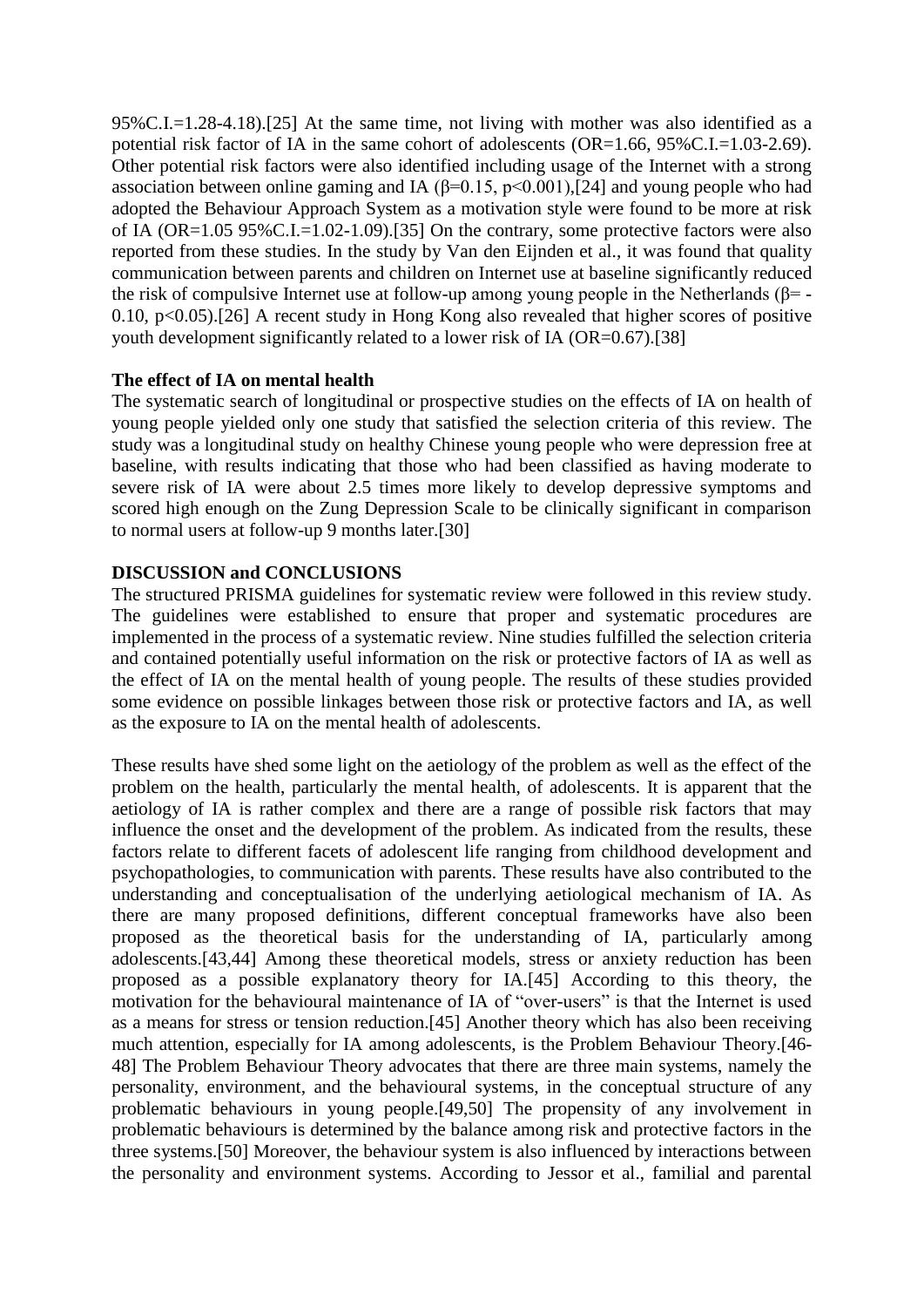95%C.I.=1.28-4.18).[25] At the same time, not living with mother was also identified as a potential risk factor of IA in the same cohort of adolescents (OR=1.66, 95%C.I.=1.03-2.69). Other potential risk factors were also identified including usage of the Internet with a strong association between online gaming and IA ( $\beta$ =0.15, p<0.001),[24] and young people who had adopted the Behaviour Approach System as a motivation style were found to be more at risk of IA (OR= $1.05$  95%C.I.= $1.02$ -1.09).[35] On the contrary, some protective factors were also reported from these studies. In the study by Van den Eijnden et al., it was found that quality communication between parents and children on Internet use at baseline significantly reduced the risk of compulsive Internet use at follow-up among young people in the Netherlands ( $\beta$ = -0.10,  $p<0.05$ ).[26] A recent study in Hong Kong also revealed that higher scores of positive youth development significantly related to a lower risk of IA (OR=0.67).[38]

## **The effect of IA on mental health**

The systematic search of longitudinal or prospective studies on the effects of IA on health of young people yielded only one study that satisfied the selection criteria of this review. The study was a longitudinal study on healthy Chinese young people who were depression free at baseline, with results indicating that those who had been classified as having moderate to severe risk of IA were about 2.5 times more likely to develop depressive symptoms and scored high enough on the Zung Depression Scale to be clinically significant in comparison to normal users at follow-up 9 months later.[30]

## **DISCUSSION and CONCLUSIONS**

The structured PRISMA guidelines for systematic review were followed in this review study. The guidelines were established to ensure that proper and systematic procedures are implemented in the process of a systematic review. Nine studies fulfilled the selection criteria and contained potentially useful information on the risk or protective factors of IA as well as the effect of IA on the mental health of young people. The results of these studies provided some evidence on possible linkages between those risk or protective factors and IA, as well as the exposure to IA on the mental health of adolescents.

These results have shed some light on the aetiology of the problem as well as the effect of the problem on the health, particularly the mental health, of adolescents. It is apparent that the aetiology of IA is rather complex and there are a range of possible risk factors that may influence the onset and the development of the problem. As indicated from the results, these factors relate to different facets of adolescent life ranging from childhood development and psychopathologies, to communication with parents. These results have also contributed to the understanding and conceptualisation of the underlying aetiological mechanism of IA. As there are many proposed definitions, different conceptual frameworks have also been proposed as the theoretical basis for the understanding of IA, particularly among adolescents.[43,44] Among these theoretical models, stress or anxiety reduction has been proposed as a possible explanatory theory for IA.[45] According to this theory, the motivation for the behavioural maintenance of IA of "over-users" is that the Internet is used as a means for stress or tension reduction.[45] Another theory which has also been receiving much attention, especially for IA among adolescents, is the Problem Behaviour Theory.[46- 48] The Problem Behaviour Theory advocates that there are three main systems, namely the personality, environment, and the behavioural systems, in the conceptual structure of any problematic behaviours in young people.[49,50] The propensity of any involvement in problematic behaviours is determined by the balance among risk and protective factors in the three systems.[50] Moreover, the behaviour system is also influenced by interactions between the personality and environment systems. According to Jessor et al., familial and parental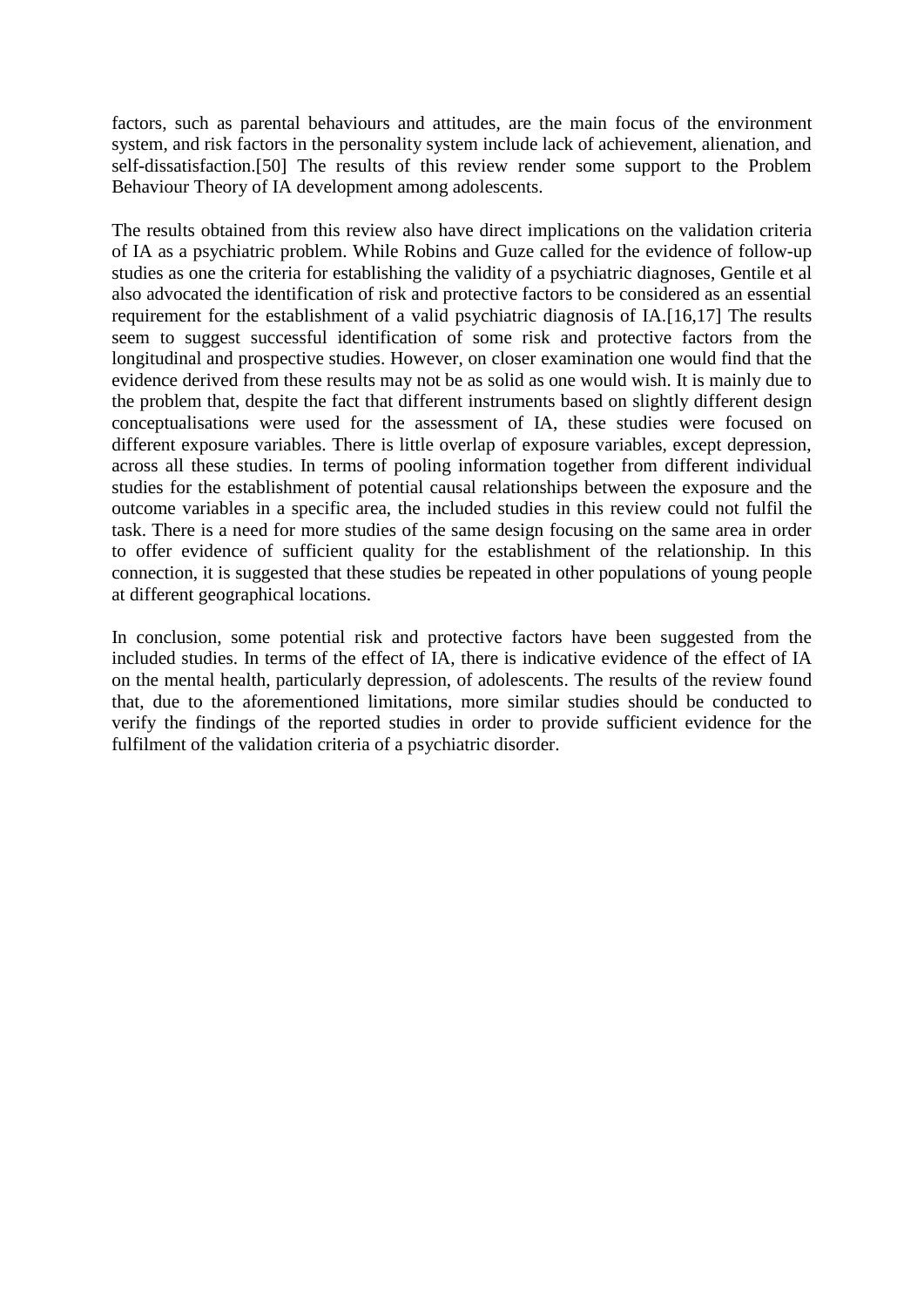factors, such as parental behaviours and attitudes, are the main focus of the environment system, and risk factors in the personality system include lack of achievement, alienation, and self-dissatisfaction.[50] The results of this review render some support to the Problem Behaviour Theory of IA development among adolescents.

The results obtained from this review also have direct implications on the validation criteria of IA as a psychiatric problem. While Robins and Guze called for the evidence of follow-up studies as one the criteria for establishing the validity of a psychiatric diagnoses, Gentile et al also advocated the identification of risk and protective factors to be considered as an essential requirement for the establishment of a valid psychiatric diagnosis of IA.[16,17] The results seem to suggest successful identification of some risk and protective factors from the longitudinal and prospective studies. However, on closer examination one would find that the evidence derived from these results may not be as solid as one would wish. It is mainly due to the problem that, despite the fact that different instruments based on slightly different design conceptualisations were used for the assessment of IA, these studies were focused on different exposure variables. There is little overlap of exposure variables, except depression, across all these studies. In terms of pooling information together from different individual studies for the establishment of potential causal relationships between the exposure and the outcome variables in a specific area, the included studies in this review could not fulfil the task. There is a need for more studies of the same design focusing on the same area in order to offer evidence of sufficient quality for the establishment of the relationship. In this connection, it is suggested that these studies be repeated in other populations of young people at different geographical locations.

In conclusion, some potential risk and protective factors have been suggested from the included studies. In terms of the effect of IA, there is indicative evidence of the effect of IA on the mental health, particularly depression, of adolescents. The results of the review found that, due to the aforementioned limitations, more similar studies should be conducted to verify the findings of the reported studies in order to provide sufficient evidence for the fulfilment of the validation criteria of a psychiatric disorder.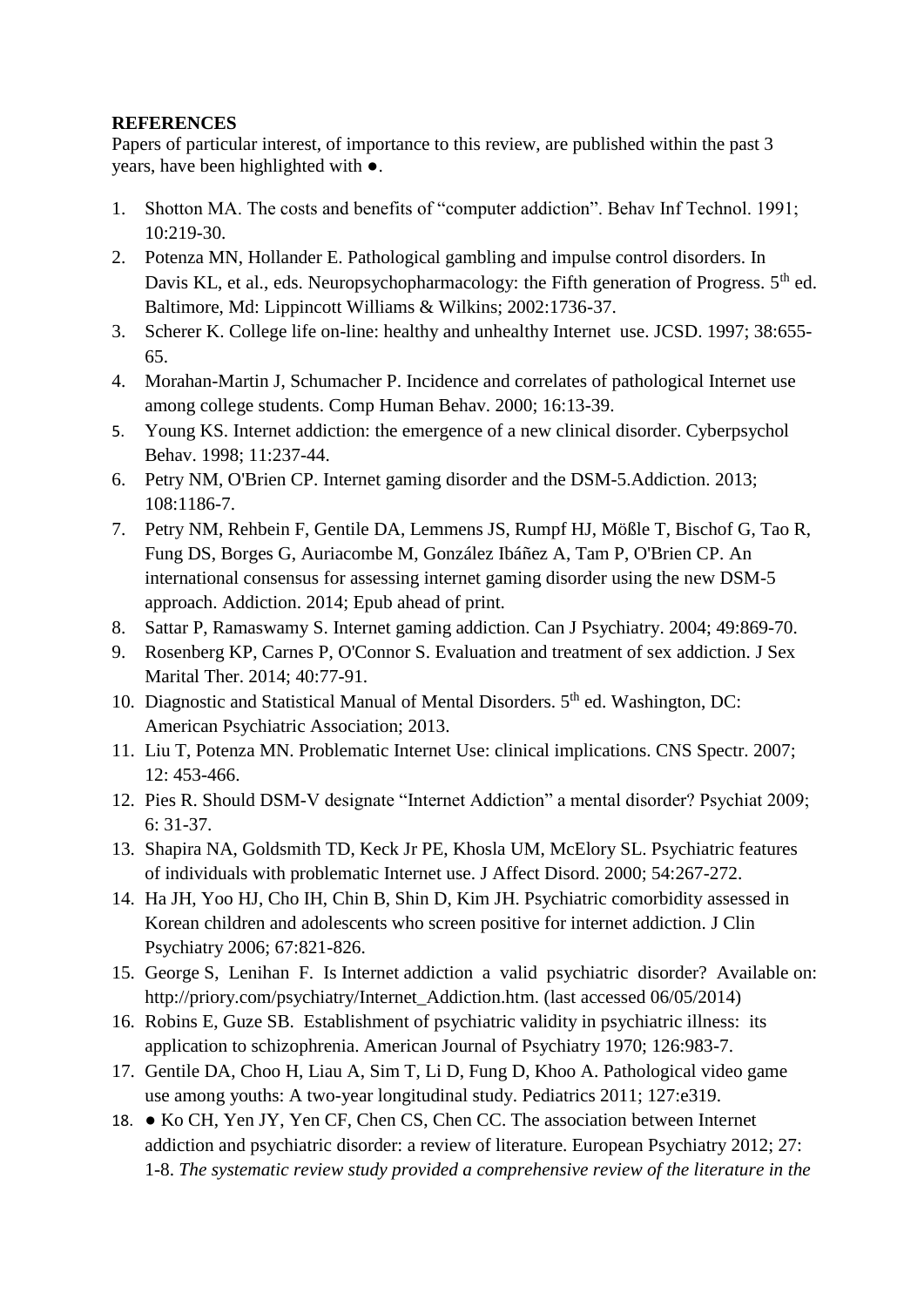## **REFERENCES**

Papers of particular interest, of importance to this review, are published within the past 3 years, have been highlighted with ●.

- 1. Shotton MA. The costs and benefits of "computer addiction". Behav Inf Technol. 1991; 10:219-30.
- 2. Potenza MN, Hollander E. Pathological gambling and impulse control disorders. In Davis KL, et al., eds. Neuropsychopharmacology: the Fifth generation of Progress.  $5<sup>th</sup>$  ed. Baltimore, Md: Lippincott Williams & Wilkins; 2002:1736-37.
- 3. Scherer K. College life on-line: healthy and unhealthy Internet use. JCSD. 1997; 38:655- 65.
- 4. Morahan-Martin J, Schumacher P. Incidence and correlates of pathological Internet use among college students. Comp Human Behav. 2000; 16:13-39.
- 5. Young KS. Internet addiction: the emergence of a new clinical disorder. Cyberpsychol Behav. 1998; 11:237-44.
- 6. Petry NM, O'Brien CP. [Internet gaming disorder](http://www.ncbi.nlm.nih.gov.ipacez.nd.edu.au/pubmed/23668389) and the DSM-5.Addiction. 2013; 108:1186-7.
- 7. Petry NM, Rehbein F, Gentile DA, Lemmens JS, Rumpf HJ, Mößle T, Bischof G, Tao R, Fung DS, Borges G, Auriacombe M, González Ibáñez A, Tam P, O'Brien CP. [An](http://www.ncbi.nlm.nih.gov.ipacez.nd.edu.au/pubmed/24456155)  [international consensus for assessing internet gaming disorder](http://www.ncbi.nlm.nih.gov.ipacez.nd.edu.au/pubmed/24456155) using the new DSM-5 [approach.](http://www.ncbi.nlm.nih.gov.ipacez.nd.edu.au/pubmed/24456155) Addiction. 2014; Epub ahead of print.
- 8. Sattar P, Ramaswamy S. [Internet gaming addiction.](http://www.ncbi.nlm.nih.gov.ipacez.nd.edu.au/pubmed/15679222) Can J Psychiatry. 2004; 49:869-70.
- 9. Rosenberg KP, Carnes P, O'Connor S. [Evaluation and treatment of sex addiction.](http://www.ncbi.nlm.nih.gov.ipacez.nd.edu.au/pubmed/23790248) J Sex Marital Ther. 2014; 40:77-91.
- 10. Diagnostic and Statistical Manual of Mental Disorders.  $5<sup>th</sup>$  ed. Washington, DC: American Psychiatric Association; 2013.
- 11. Liu T, Potenza MN. Problematic Internet Use: clinical implications. CNS Spectr. 2007; 12: 453-466.
- 12. Pies R. Should DSM-V designate "Internet Addiction" a mental disorder? Psychiat 2009; 6: 31-37.
- 13. Shapira NA, Goldsmith TD, Keck Jr PE, Khosla UM, McElory SL. Psychiatric features of individuals with problematic Internet use. J Affect Disord. 2000; 54:267-272.
- 14. Ha JH, Yoo HJ, Cho IH, Chin B, Shin D, Kim JH. Psychiatric comorbidity assessed in Korean children and adolescents who screen positive for internet addiction. J Clin Psychiatry 2006; 67:821-826.
- 15. George S, Lenihan F. Is Internet addiction a valid psychiatric disorder? Available on: http://priory.com/psychiatry/Internet\_Addiction.htm. (last accessed 06/05/2014)
- 16. Robins E, Guze SB. Establishment of psychiatric validity in psychiatric illness: its application to schizophrenia. American Journal of Psychiatry 1970; 126:983-7.
- 17. Gentile DA, Choo H, Liau A, Sim T, Li D, Fung D, Khoo A. Pathological video game use among youths: A two-year longitudinal study. Pediatrics 2011; 127:e319.
- 18. Ko CH, Yen JY, Yen CF, Chen CS, Chen CC. The association between Internet addiction and psychiatric disorder: a review of literature. European Psychiatry 2012; 27: 1-8. *The systematic review study provided a comprehensive review of the literature in the*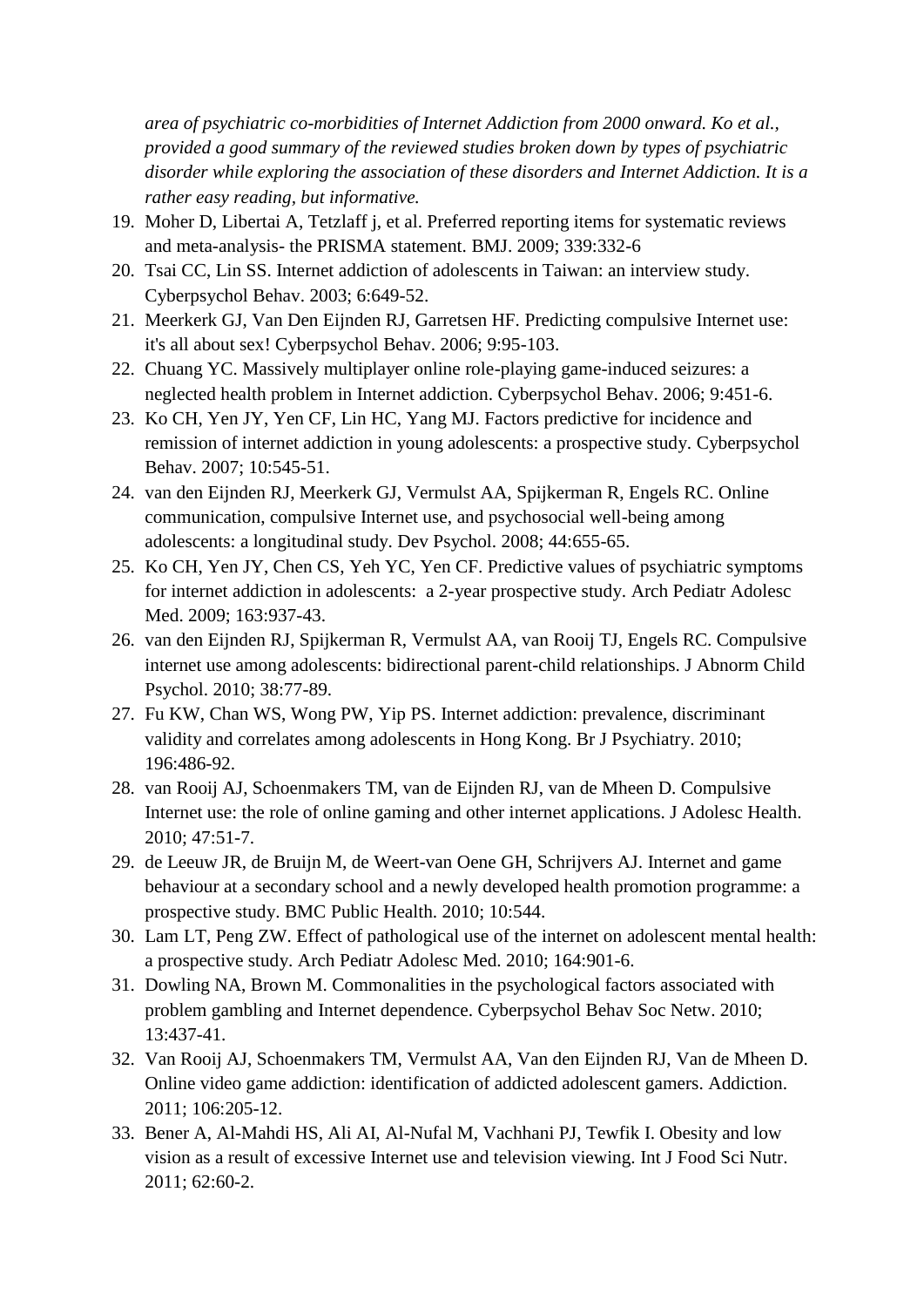*area of psychiatric co-morbidities of Internet Addiction from 2000 onward. Ko et al., provided a good summary of the reviewed studies broken down by types of psychiatric disorder while exploring the association of these disorders and Internet Addiction. It is a rather easy reading, but informative.*

- 19. Moher D, Libertai A, Tetzlaff j, et al. Preferred reporting items for systematic reviews and meta-analysis- the PRISMA statement. BMJ. 2009; 339:332-6
- 20. Tsai CC, Lin SS. Internet addiction of adolescents in Taiwan: an interview study. Cyberpsychol Behav. 2003; 6:649-52.
- 21. Meerkerk GJ, Van Den Eijnden RJ, Garretsen HF. Predicting compulsive Internet use: it's all about sex! Cyberpsychol Behav. 2006; 9:95-103.
- 22. Chuang YC. Massively multiplayer online role-playing game-induced seizures: a neglected health problem in Internet addiction. Cyberpsychol Behav. 2006; 9:451-6.
- 23. Ko CH, Yen JY, Yen CF, Lin HC, Yang MJ. Factors predictive for incidence and remission of internet addiction in young adolescents: a prospective study. Cyberpsychol Behav. 2007; 10:545-51.
- 24. van den Eijnden RJ, Meerkerk GJ, Vermulst AA, Spijkerman R, Engels RC. Online communication, compulsive Internet use, and psychosocial well-being among adolescents: a longitudinal study. Dev Psychol. 2008; 44:655-65.
- 25. Ko CH, Yen JY, Chen CS, Yeh YC, Yen CF. Predictive values of psychiatric symptoms for internet addiction in adolescents: a 2-year prospective study. Arch Pediatr Adolesc Med. 2009; 163:937-43.
- 26. van den Eijnden RJ, Spijkerman R, Vermulst AA, van Rooij TJ, Engels RC. Compulsive internet use among adolescents: bidirectional parent-child relationships. J Abnorm Child Psychol. 2010; 38:77-89.
- 27. Fu KW, Chan WS, Wong PW, Yip PS. Internet addiction: prevalence, discriminant validity and correlates among adolescents in Hong Kong. Br J Psychiatry. 2010; 196:486-92.
- 28. van Rooij AJ, Schoenmakers TM, van de Eijnden RJ, van de Mheen D. Compulsive Internet use: the role of online gaming and other internet applications. J Adolesc Health. 2010; 47:51-7.
- 29. de Leeuw JR, de Bruijn M, de Weert-van Oene GH, Schrijvers AJ. Internet and game behaviour at a secondary school and a newly developed health promotion programme: a prospective study. BMC Public Health. 2010; 10:544.
- 30. Lam LT, Peng ZW. Effect of pathological use of the internet on adolescent mental health: a prospective study. Arch Pediatr Adolesc Med. 2010; 164:901-6.
- 31. Dowling NA, Brown M. Commonalities in the psychological factors associated with problem gambling and Internet dependence. Cyberpsychol Behav Soc Netw. 2010; 13:437-41.
- 32. Van Rooij AJ, Schoenmakers TM, Vermulst AA, Van den Eijnden RJ, Van de Mheen D. Online video game addiction: identification of addicted adolescent gamers. Addiction. 2011; 106:205-12.
- 33. Bener A, Al-Mahdi HS, Ali AI, Al-Nufal M, Vachhani PJ, Tewfik I. Obesity and low vision as a result of excessive Internet use and television viewing. Int J Food Sci Nutr. 2011; 62:60-2.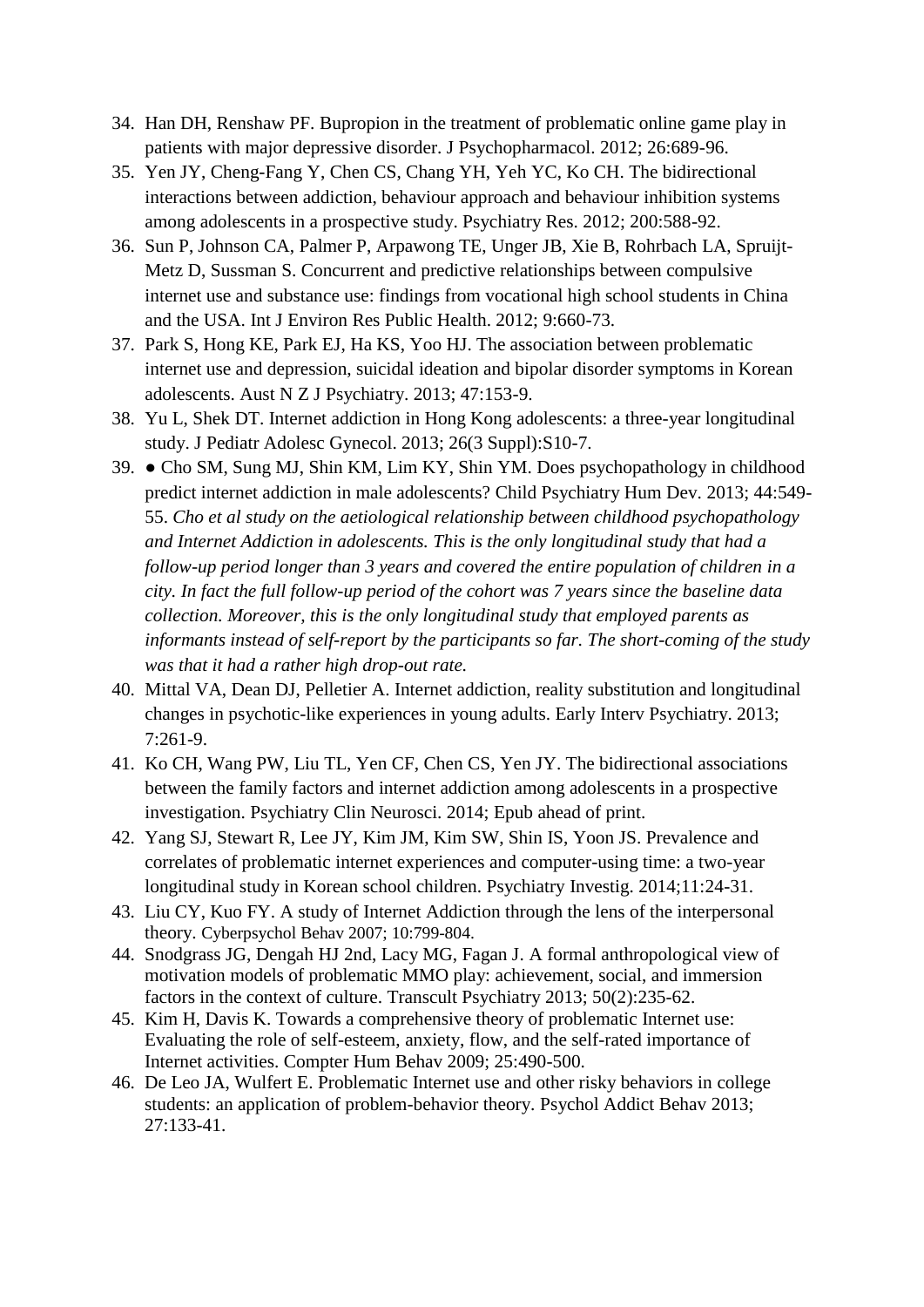- 34. Han DH, Renshaw PF. Bupropion in the treatment of problematic online game play in patients with major depressive disorder. J Psychopharmacol. 2012; 26:689-96.
- 35. Yen JY, Cheng-Fang Y, Chen CS, Chang YH, Yeh YC, Ko CH. The bidirectional interactions between addiction, behaviour approach and behaviour inhibition systems among adolescents in a prospective study. Psychiatry Res. 2012; 200:588-92.
- 36. Sun P, Johnson CA, Palmer P, Arpawong TE, Unger JB, Xie B, Rohrbach LA, Spruijt-Metz D, Sussman S. Concurrent and predictive relationships between compulsive internet use and substance use: findings from vocational high school students in China and the USA. Int J Environ Res Public Health. 2012; 9:660-73.
- 37. Park S, Hong KE, Park EJ, Ha KS, Yoo HJ. The association between problematic internet use and depression, suicidal ideation and bipolar disorder symptoms in Korean adolescents. Aust N Z J Psychiatry. 2013; 47:153-9.
- 38. Yu L, Shek DT. Internet addiction in Hong Kong adolescents: a three-year longitudinal study. J Pediatr Adolesc Gynecol. 2013; 26(3 Suppl):S10-7.
- 39. Cho SM, Sung MJ, Shin KM, Lim KY, Shin YM. Does psychopathology in childhood predict internet addiction in male adolescents? Child Psychiatry Hum Dev. 2013; 44:549- 55. *Cho et al study on the aetiological relationship between childhood psychopathology and Internet Addiction in adolescents. This is the only longitudinal study that had a follow-up period longer than 3 years and covered the entire population of children in a city. In fact the full follow-up period of the cohort was 7 years since the baseline data collection. Moreover, this is the only longitudinal study that employed parents as informants instead of self-report by the participants so far. The short-coming of the study was that it had a rather high drop-out rate.*
- 40. Mittal VA, Dean DJ, Pelletier A. Internet addiction, reality substitution and longitudinal changes in psychotic-like experiences in young adults. Early Interv Psychiatry. 2013; 7:261-9.
- 41. Ko CH, Wang PW, Liu TL, Yen CF, Chen CS, Yen JY. The bidirectional associations between the family factors and internet addiction among adolescents in a prospective investigation. Psychiatry Clin Neurosci. 2014; Epub ahead of print.
- 42. Yang SJ, Stewart R, Lee JY, Kim JM, Kim SW, Shin IS, Yoon JS. Prevalence and correlates of problematic internet experiences and computer-using time: a two-year longitudinal study in Korean school children. Psychiatry Investig. 2014;11:24-31.
- 43. Liu CY, Kuo FY. A study of Internet Addiction through the lens of the interpersonal theory. Cyberpsychol Behav 2007; 10:799-804.
- 44. Snodgrass JG, Dengah HJ 2nd, Lacy MG, Fagan J. [A formal anthropological view of](http://www.ncbi.nlm.nih.gov.ipacez.nd.edu.au/pubmed/23690445)  [motivation models of problematic MMO play: achievement, social, and immersion](http://www.ncbi.nlm.nih.gov.ipacez.nd.edu.au/pubmed/23690445)  [factors in the context of culture.](http://www.ncbi.nlm.nih.gov.ipacez.nd.edu.au/pubmed/23690445) Transcult Psychiatry 2013; 50(2):235-62.
- 45. Kim H, Davis K. Towards a comprehensive theory of problematic Internet use: Evaluating the role of self-esteem, anxiety, flow, and the self-rated importance of Internet activities. Compter Hum Behav 2009; 25:490-500.
- 46. De Leo JA, Wulfert E. [Problematic Internet use and other risky behaviors in](http://www.ncbi.nlm.nih.gov.ipacez.nd.edu.au/pubmed/23276311) college [students: an application of problem-behavior theory.](http://www.ncbi.nlm.nih.gov.ipacez.nd.edu.au/pubmed/23276311) Psychol Addict Behav 2013; 27:133-41.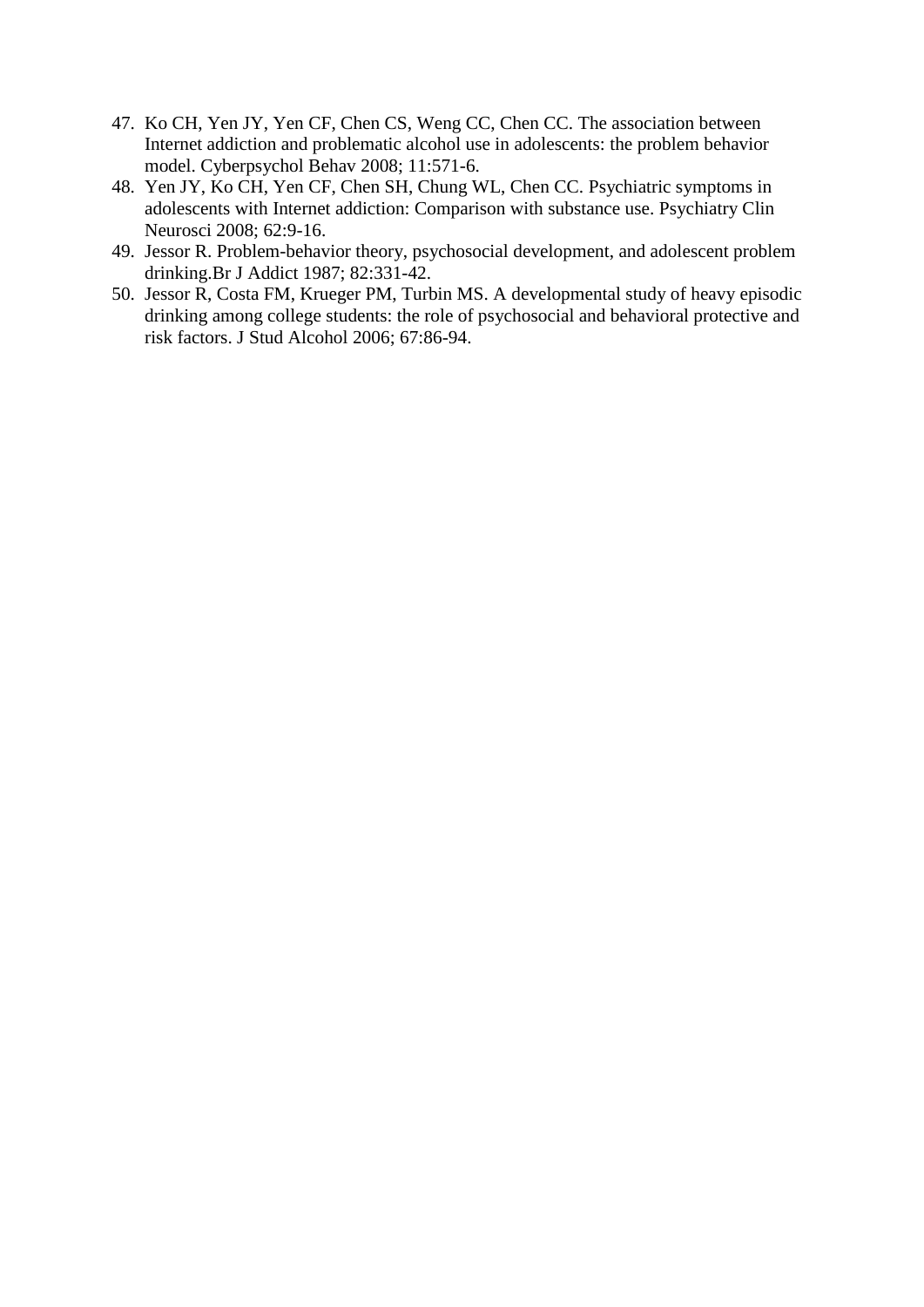- 47. Ko CH, Yen JY, Yen CF, Chen CS, Weng CC, Chen CC. [The association between](http://www.ncbi.nlm.nih.gov.ipacez.nd.edu.au/pubmed/18785835)  [Internet addiction and problematic alcohol use in adolescents: the problem behavior](http://www.ncbi.nlm.nih.gov.ipacez.nd.edu.au/pubmed/18785835)  [model.](http://www.ncbi.nlm.nih.gov.ipacez.nd.edu.au/pubmed/18785835) Cyberpsychol Behav 2008; 11:571-6.
- 48. Yen JY, Ko CH, Yen CF, Chen SH, Chung WL, Chen CC. [Psychiatric symptoms in](http://www.ncbi.nlm.nih.gov.ipacez.nd.edu.au/pubmed/18289136)  [adolescents with Internet addiction: Comparison with substance use.](http://www.ncbi.nlm.nih.gov.ipacez.nd.edu.au/pubmed/18289136) Psychiatry Clin Neurosci 2008; 62:9-16.
- 49. Jessor R. [Problem-behavior theory, psychosocial development, and adolescent problem](http://www.ncbi.nlm.nih.gov.ipacez.nd.edu.au/pubmed/3472582)  [drinking.B](http://www.ncbi.nlm.nih.gov.ipacez.nd.edu.au/pubmed/3472582)r J Addict 1987; 82:331-42.
- 50. Jessor R, Costa FM, Krueger PM, Turbin MS. [A developmental study of heavy episodic](http://www.ncbi.nlm.nih.gov.ipacez.nd.edu.au/pubmed/16536132)  [drinking among college students: the role of psychosocial and behavioral protective and](http://www.ncbi.nlm.nih.gov.ipacez.nd.edu.au/pubmed/16536132)  [risk factors.](http://www.ncbi.nlm.nih.gov.ipacez.nd.edu.au/pubmed/16536132) J Stud Alcohol 2006; 67:86-94.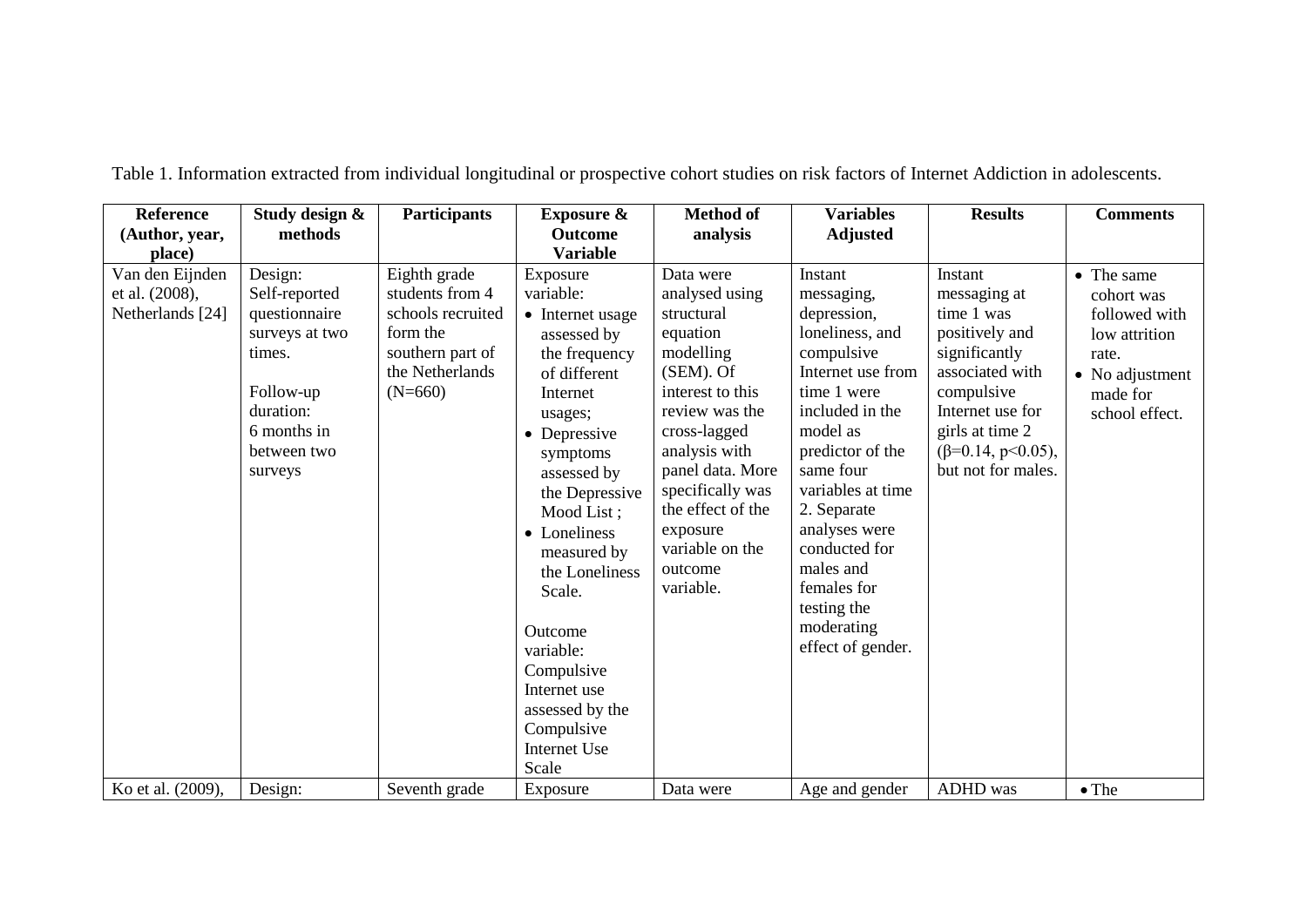| <b>Reference</b>                                      | Study design &                                                                                                                           | <b>Participants</b>                                                                                                  | <b>Exposure &amp;</b>                                                                                                                                                                                                                                                                                                                                                         | <b>Method of</b>                                                                                                                                                                                                                                                           | <b>Variables</b>                                                                                                                                                                                                                                                                                                              | <b>Results</b>                                                                                                                                                                                    | <b>Comments</b>                                                                                                      |
|-------------------------------------------------------|------------------------------------------------------------------------------------------------------------------------------------------|----------------------------------------------------------------------------------------------------------------------|-------------------------------------------------------------------------------------------------------------------------------------------------------------------------------------------------------------------------------------------------------------------------------------------------------------------------------------------------------------------------------|----------------------------------------------------------------------------------------------------------------------------------------------------------------------------------------------------------------------------------------------------------------------------|-------------------------------------------------------------------------------------------------------------------------------------------------------------------------------------------------------------------------------------------------------------------------------------------------------------------------------|---------------------------------------------------------------------------------------------------------------------------------------------------------------------------------------------------|----------------------------------------------------------------------------------------------------------------------|
| (Author, year,                                        | methods                                                                                                                                  |                                                                                                                      | <b>Outcome</b>                                                                                                                                                                                                                                                                                                                                                                | analysis                                                                                                                                                                                                                                                                   | <b>Adjusted</b>                                                                                                                                                                                                                                                                                                               |                                                                                                                                                                                                   |                                                                                                                      |
| place)                                                |                                                                                                                                          |                                                                                                                      | <b>Variable</b>                                                                                                                                                                                                                                                                                                                                                               |                                                                                                                                                                                                                                                                            |                                                                                                                                                                                                                                                                                                                               |                                                                                                                                                                                                   |                                                                                                                      |
| Van den Eijnden<br>et al. (2008),<br>Netherlands [24] | Design:<br>Self-reported<br>questionnaire<br>surveys at two<br>times.<br>Follow-up<br>duration:<br>6 months in<br>between two<br>surveys | Eighth grade<br>students from 4<br>schools recruited<br>form the<br>southern part of<br>the Netherlands<br>$(N=660)$ | Exposure<br>variable:<br>• Internet usage<br>assessed by<br>the frequency<br>of different<br>Internet<br>usages;<br>• Depressive<br>symptoms<br>assessed by<br>the Depressive<br>Mood List;<br>• Loneliness<br>measured by<br>the Loneliness<br>Scale.<br>Outcome<br>variable:<br>Compulsive<br>Internet use<br>assessed by the<br>Compulsive<br><b>Internet Use</b><br>Scale | Data were<br>analysed using<br>structural<br>equation<br>modelling<br>(SEM). Of<br>interest to this<br>review was the<br>cross-lagged<br>analysis with<br>panel data. More<br>specifically was<br>the effect of the<br>exposure<br>variable on the<br>outcome<br>variable. | Instant<br>messaging,<br>depression,<br>loneliness, and<br>compulsive<br>Internet use from<br>time 1 were<br>included in the<br>model as<br>predictor of the<br>same four<br>variables at time<br>2. Separate<br>analyses were<br>conducted for<br>males and<br>females for<br>testing the<br>moderating<br>effect of gender. | Instant<br>messaging at<br>time 1 was<br>positively and<br>significantly<br>associated with<br>compulsive<br>Internet use for<br>girls at time 2<br>$(\beta=0.14, p<0.05),$<br>but not for males. | • The same<br>cohort was<br>followed with<br>low attrition<br>rate.<br>• No adjustment<br>made for<br>school effect. |
| Ko et al. (2009),                                     | Design:                                                                                                                                  | Seventh grade                                                                                                        | Exposure                                                                                                                                                                                                                                                                                                                                                                      | Data were                                                                                                                                                                                                                                                                  | Age and gender                                                                                                                                                                                                                                                                                                                | <b>ADHD</b> was                                                                                                                                                                                   | $\bullet$ The                                                                                                        |

Table 1. Information extracted from individual longitudinal or prospective cohort studies on risk factors of Internet Addiction in adolescents.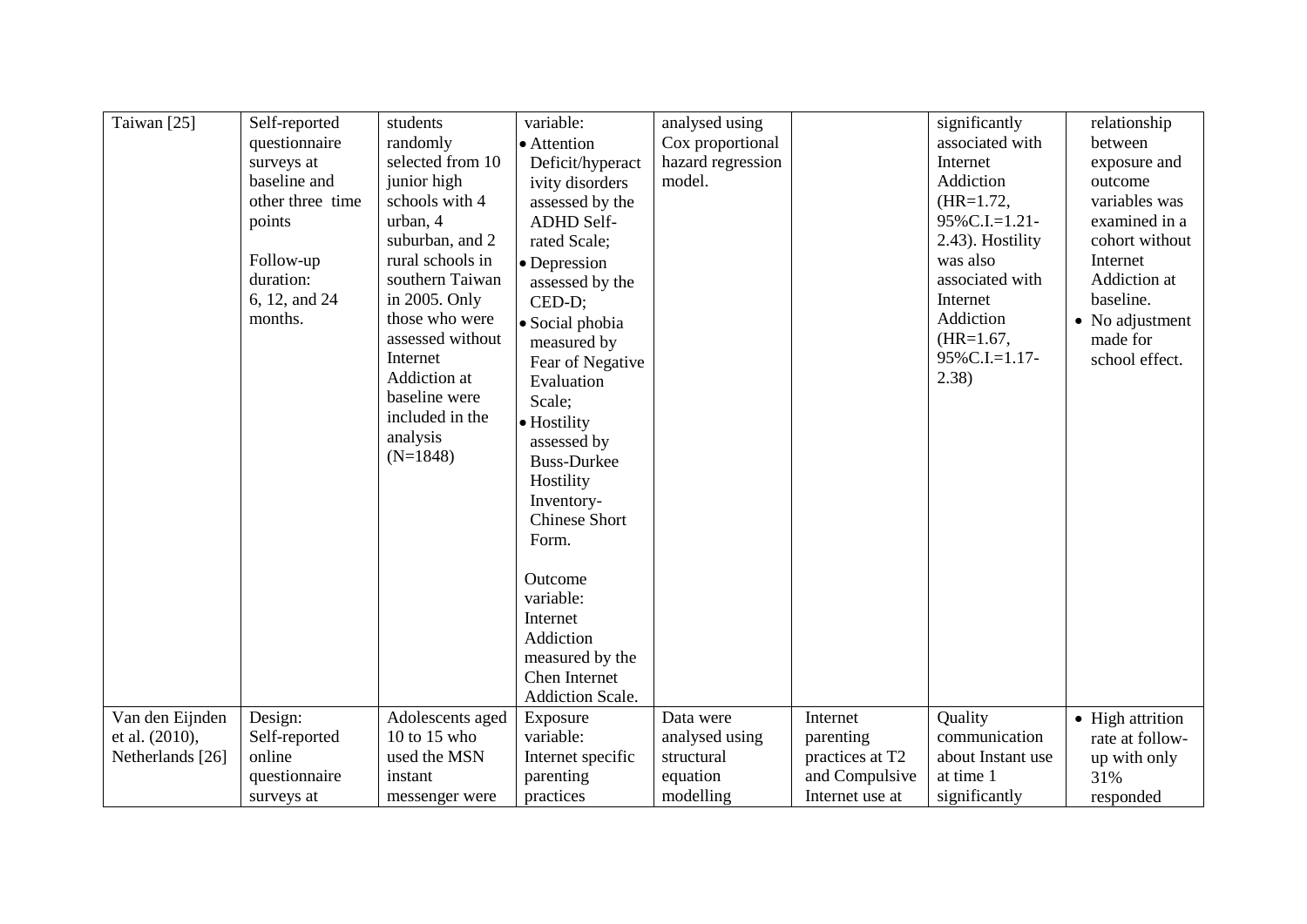| Taiwan [25]      | Self-reported<br>questionnaire<br>surveys at<br>baseline and<br>other three time<br>points<br>Follow-up<br>duration:<br>6, 12, and 24<br>months. | students<br>randomly<br>selected from 10<br>junior high<br>schools with 4<br>urban, 4<br>suburban, and 2<br>rural schools in<br>southern Taiwan<br>in 2005. Only<br>those who were<br>assessed without<br>Internet<br>Addiction at<br>baseline were<br>included in the<br>analysis<br>$(N=1848)$ | variable:<br>· Attention<br>Deficit/hyperact<br>ivity disorders<br>assessed by the<br>ADHD Self-<br>rated Scale;<br>• Depression<br>assessed by the<br>CED-D;<br>· Social phobia<br>measured by<br>Fear of Negative<br>Evaluation<br>Scale;<br>· Hostility<br>assessed by<br><b>Buss-Durkee</b><br>Hostility<br>Inventory-<br><b>Chinese Short</b><br>Form.<br>Outcome<br>variable:<br>Internet<br>Addiction<br>measured by the | analysed using<br>Cox proportional<br>hazard regression<br>model. |                 | significantly<br>associated with<br>Internet<br>Addiction<br>$(HR=1.72,$<br>95%C.I.=1.21-<br>2.43). Hostility<br>was also<br>associated with<br>Internet<br>Addiction<br>$(HR=1.67,$<br>95% C.I.=1.17-<br>(2.38) | relationship<br>between<br>exposure and<br>outcome<br>variables was<br>examined in a<br>cohort without<br>Internet<br>Addiction at<br>baseline.<br>• No adjustment<br>made for<br>school effect. |
|------------------|--------------------------------------------------------------------------------------------------------------------------------------------------|--------------------------------------------------------------------------------------------------------------------------------------------------------------------------------------------------------------------------------------------------------------------------------------------------|---------------------------------------------------------------------------------------------------------------------------------------------------------------------------------------------------------------------------------------------------------------------------------------------------------------------------------------------------------------------------------------------------------------------------------|-------------------------------------------------------------------|-----------------|------------------------------------------------------------------------------------------------------------------------------------------------------------------------------------------------------------------|--------------------------------------------------------------------------------------------------------------------------------------------------------------------------------------------------|
|                  |                                                                                                                                                  |                                                                                                                                                                                                                                                                                                  | Chen Internet<br>Addiction Scale.                                                                                                                                                                                                                                                                                                                                                                                               |                                                                   |                 |                                                                                                                                                                                                                  |                                                                                                                                                                                                  |
| Van den Eijnden  | Design:                                                                                                                                          | Adolescents aged                                                                                                                                                                                                                                                                                 | Exposure                                                                                                                                                                                                                                                                                                                                                                                                                        | Data were                                                         | Internet        | Quality                                                                                                                                                                                                          |                                                                                                                                                                                                  |
| et al. (2010),   | Self-reported                                                                                                                                    | 10 to 15 who                                                                                                                                                                                                                                                                                     | variable:                                                                                                                                                                                                                                                                                                                                                                                                                       | analysed using                                                    | parenting       | communication                                                                                                                                                                                                    | • High attrition<br>rate at follow-                                                                                                                                                              |
| Netherlands [26] | online                                                                                                                                           | used the MSN                                                                                                                                                                                                                                                                                     |                                                                                                                                                                                                                                                                                                                                                                                                                                 | structural                                                        | practices at T2 | about Instant use                                                                                                                                                                                                |                                                                                                                                                                                                  |
|                  |                                                                                                                                                  |                                                                                                                                                                                                                                                                                                  | Internet specific                                                                                                                                                                                                                                                                                                                                                                                                               |                                                                   |                 |                                                                                                                                                                                                                  | up with only                                                                                                                                                                                     |
|                  | questionnaire                                                                                                                                    | instant                                                                                                                                                                                                                                                                                          | parenting                                                                                                                                                                                                                                                                                                                                                                                                                       | equation                                                          | and Compulsive  | at time 1                                                                                                                                                                                                        | 31%                                                                                                                                                                                              |
|                  | surveys at                                                                                                                                       | messenger were                                                                                                                                                                                                                                                                                   | practices                                                                                                                                                                                                                                                                                                                                                                                                                       | modelling                                                         | Internet use at | significantly                                                                                                                                                                                                    | responded                                                                                                                                                                                        |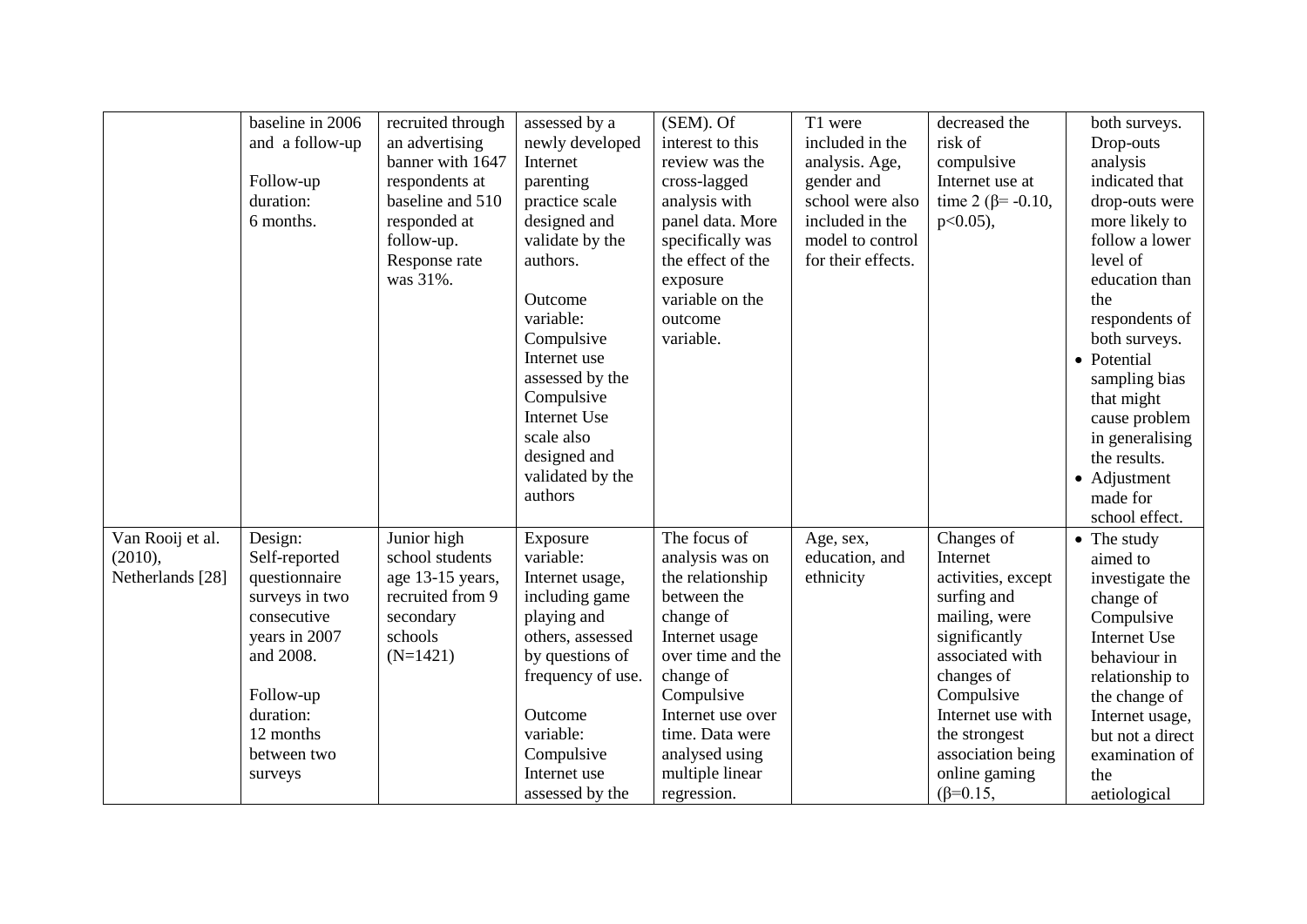|                                                 | baseline in 2006<br>and a follow-up<br>Follow-up<br>duration:<br>6 months. | recruited through<br>an advertising<br>banner with 1647<br>respondents at<br>baseline and 510<br>responded at<br>follow-up.<br>Response rate<br>was 31%. | assessed by a<br>newly developed<br>Internet<br>parenting<br>practice scale<br>designed and<br>validate by the<br>authors.<br>Outcome<br>variable:<br>Compulsive<br>Internet use<br>assessed by the<br>Compulsive<br><b>Internet Use</b><br>scale also<br>designed and | (SEM). Of<br>interest to this<br>review was the<br>cross-lagged<br>analysis with<br>panel data. More<br>specifically was<br>the effect of the<br>exposure<br>variable on the<br>outcome<br>variable. | T1 were<br>included in the<br>analysis. Age,<br>gender and<br>school were also<br>included in the<br>model to control<br>for their effects. | decreased the<br>risk of<br>compulsive<br>Internet use at<br>time 2 ( $\beta$ = -0.10,<br>$p<0.05$ ),      | both surveys.<br>Drop-outs<br>analysis<br>indicated that<br>drop-outs were<br>more likely to<br>follow a lower<br>level of<br>education than<br>the<br>respondents of<br>both surveys.<br>• Potential<br>sampling bias<br>that might<br>cause problem<br>in generalising<br>the results. |
|-------------------------------------------------|----------------------------------------------------------------------------|----------------------------------------------------------------------------------------------------------------------------------------------------------|------------------------------------------------------------------------------------------------------------------------------------------------------------------------------------------------------------------------------------------------------------------------|------------------------------------------------------------------------------------------------------------------------------------------------------------------------------------------------------|---------------------------------------------------------------------------------------------------------------------------------------------|------------------------------------------------------------------------------------------------------------|------------------------------------------------------------------------------------------------------------------------------------------------------------------------------------------------------------------------------------------------------------------------------------------|
| Van Rooij et al.<br>(2010),<br>Netherlands [28] | Design:<br>Self-reported<br>questionnaire                                  | Junior high<br>school students<br>age 13-15 years,                                                                                                       | validated by the<br>authors<br>Exposure<br>variable:<br>Internet usage,                                                                                                                                                                                                | The focus of<br>analysis was on<br>the relationship                                                                                                                                                  | Age, sex,<br>education, and<br>ethnicity                                                                                                    | Changes of<br>Internet<br>activities, except                                                               | • Adjustment<br>made for<br>school effect.<br>• The study<br>aimed to<br>investigate the                                                                                                                                                                                                 |
|                                                 | surveys in two<br>consecutive<br>years in 2007<br>and 2008.                | recruited from 9<br>secondary<br>schools<br>$(N=1421)$                                                                                                   | including game<br>playing and<br>others, assessed<br>by questions of<br>frequency of use.                                                                                                                                                                              | between the<br>change of<br>Internet usage<br>over time and the<br>change of                                                                                                                         |                                                                                                                                             | surfing and<br>mailing, were<br>significantly<br>associated with<br>changes of                             | change of<br>Compulsive<br>Internet Use<br>behaviour in<br>relationship to                                                                                                                                                                                                               |
|                                                 | Follow-up<br>duration:<br>12 months<br>between two<br>surveys              |                                                                                                                                                          | Outcome<br>variable:<br>Compulsive<br>Internet use<br>assessed by the                                                                                                                                                                                                  | Compulsive<br>Internet use over<br>time. Data were<br>analysed using<br>multiple linear<br>regression.                                                                                               |                                                                                                                                             | Compulsive<br>Internet use with<br>the strongest<br>association being<br>online gaming<br>$(\beta = 0.15,$ | the change of<br>Internet usage,<br>but not a direct<br>examination of<br>the<br>aetiological                                                                                                                                                                                            |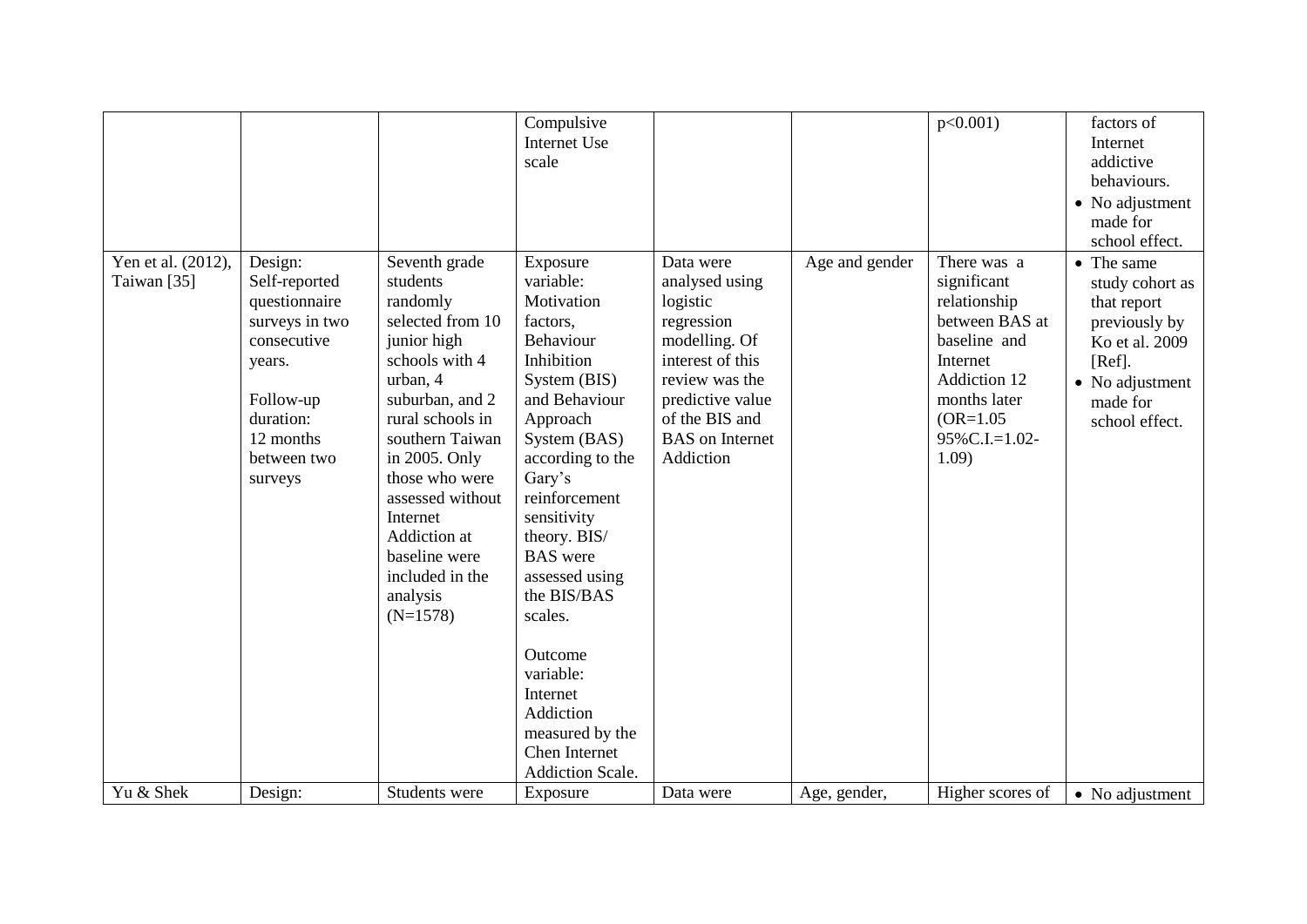|                                   |                                                                                                                                                       |                                                                                                                                                                                                                                                                                                                   | Compulsive<br>Internet Use<br>scale                                                                                                                                                                                                                                                                                                                                                           |                                                                                                                                                                                           |                | $p<0.001$ )                                                                                                                                                                 | factors of<br>Internet<br>addictive<br>behaviours.<br>• No adjustment<br>made for<br>school effect.                                        |
|-----------------------------------|-------------------------------------------------------------------------------------------------------------------------------------------------------|-------------------------------------------------------------------------------------------------------------------------------------------------------------------------------------------------------------------------------------------------------------------------------------------------------------------|-----------------------------------------------------------------------------------------------------------------------------------------------------------------------------------------------------------------------------------------------------------------------------------------------------------------------------------------------------------------------------------------------|-------------------------------------------------------------------------------------------------------------------------------------------------------------------------------------------|----------------|-----------------------------------------------------------------------------------------------------------------------------------------------------------------------------|--------------------------------------------------------------------------------------------------------------------------------------------|
| Yen et al. (2012),<br>Taiwan [35] | Design:<br>Self-reported<br>questionnaire<br>surveys in two<br>consecutive<br>years.<br>Follow-up<br>duration:<br>12 months<br>between two<br>surveys | Seventh grade<br>students<br>randomly<br>selected from 10<br>junior high<br>schools with 4<br>urban, 4<br>suburban, and 2<br>rural schools in<br>southern Taiwan<br>in 2005. Only<br>those who were<br>assessed without<br>Internet<br>Addiction at<br>baseline were<br>included in the<br>analysis<br>$(N=1578)$ | Exposure<br>variable:<br>Motivation<br>factors,<br>Behaviour<br>Inhibition<br>System (BIS)<br>and Behaviour<br>Approach<br>System (BAS)<br>according to the<br>Gary's<br>reinforcement<br>sensitivity<br>theory. BIS/<br><b>BAS</b> were<br>assessed using<br>the BIS/BAS<br>scales.<br>Outcome<br>variable:<br>Internet<br>Addiction<br>measured by the<br>Chen Internet<br>Addiction Scale. | Data were<br>analysed using<br>logistic<br>regression<br>modelling. Of<br>interest of this<br>review was the<br>predictive value<br>of the BIS and<br><b>BAS</b> on Internet<br>Addiction | Age and gender | There was a<br>significant<br>relationship<br>between BAS at<br>baseline and<br>Internet<br><b>Addiction 12</b><br>months later<br>$OR = 1.05$<br>$95\%$ C.I.=1.02-<br>1.09 | • The same<br>study cohort as<br>that report<br>previously by<br>Ko et al. 2009<br>[Ref].<br>• No adjustment<br>made for<br>school effect. |
| Yu & Shek                         | Design:                                                                                                                                               | Students were                                                                                                                                                                                                                                                                                                     | Exposure                                                                                                                                                                                                                                                                                                                                                                                      | Data were                                                                                                                                                                                 | Age, gender,   | Higher scores of                                                                                                                                                            | • No adjustment                                                                                                                            |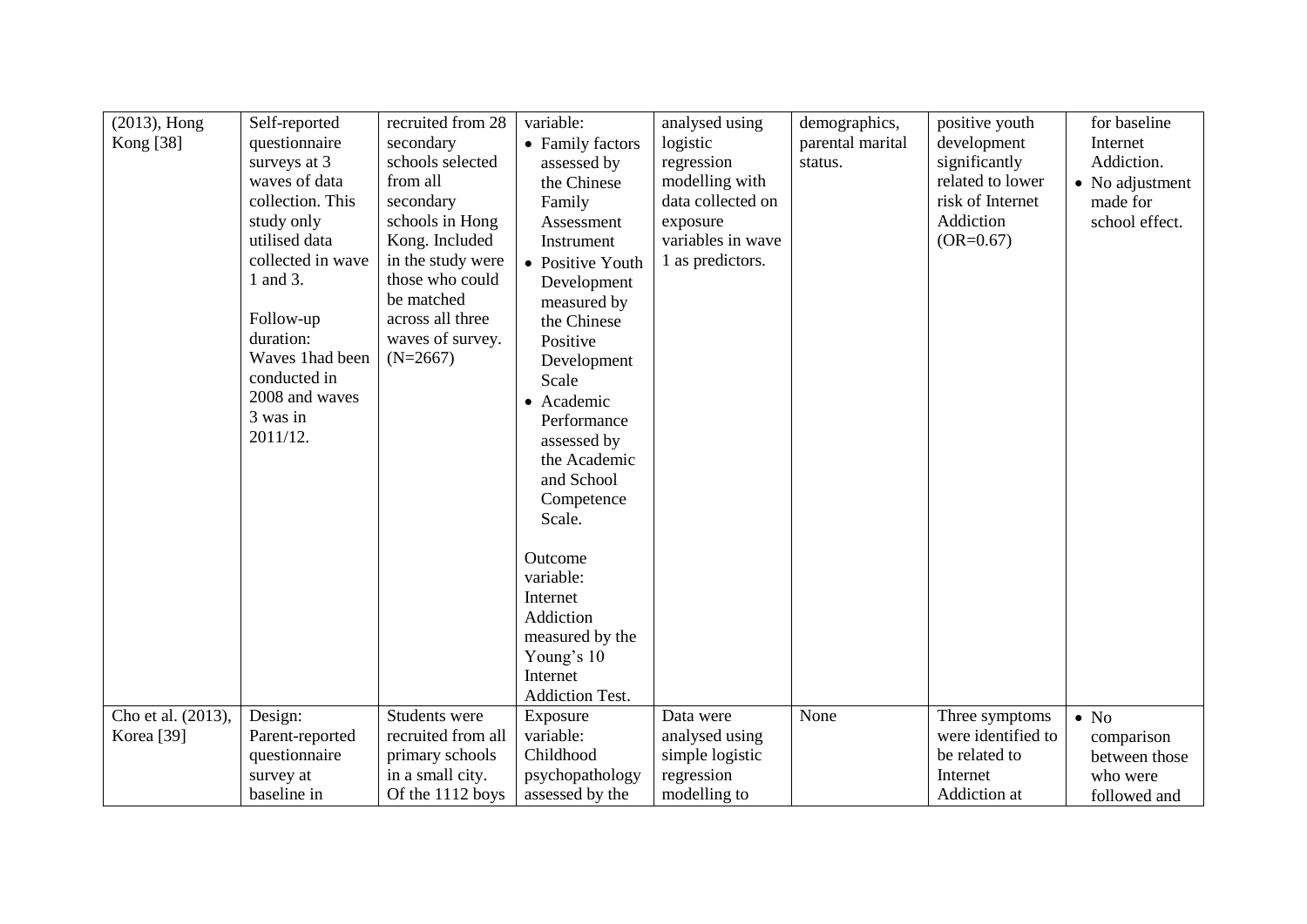| $(2013)$ , Hong<br>Kong [38]<br>Cho et al. (2013), | Self-reported<br>questionnaire<br>surveys at 3<br>waves of data<br>collection. This<br>study only<br>utilised data<br>collected in wave<br>1 and 3.<br>Follow-up<br>duration:<br>Waves 1had been<br>conducted in<br>2008 and waves<br>3 was in<br>2011/12.<br>Design: | recruited from 28<br>secondary<br>schools selected<br>from all<br>secondary<br>schools in Hong<br>Kong. Included<br>in the study were<br>those who could<br>be matched<br>across all three<br>waves of survey.<br>$(N=2667)$<br>Students were | variable:<br>• Family factors<br>assessed by<br>the Chinese<br>Family<br>Assessment<br>Instrument<br>• Positive Youth<br>Development<br>measured by<br>the Chinese<br>Positive<br>Development<br>Scale<br>• Academic<br>Performance<br>assessed by<br>the Academic<br>and School<br>Competence<br>Scale.<br>Outcome<br>variable:<br>Internet<br>Addiction<br>measured by the<br>Young's 10<br>Internet<br><b>Addiction Test.</b><br>Exposure | analysed using<br>logistic<br>regression<br>modelling with<br>data collected on<br>exposure<br>variables in wave<br>1 as predictors.<br>Data were | demographics,<br>parental marital<br>status.<br>None | positive youth<br>development<br>significantly<br>related to lower<br>risk of Internet<br>Addiction<br>$(OR=0.67)$<br>Three symptoms | for baseline<br>Internet<br>Addiction.<br>• No adjustment<br>made for<br>school effect.<br>$\bullet$ No |
|----------------------------------------------------|-----------------------------------------------------------------------------------------------------------------------------------------------------------------------------------------------------------------------------------------------------------------------|-----------------------------------------------------------------------------------------------------------------------------------------------------------------------------------------------------------------------------------------------|----------------------------------------------------------------------------------------------------------------------------------------------------------------------------------------------------------------------------------------------------------------------------------------------------------------------------------------------------------------------------------------------------------------------------------------------|---------------------------------------------------------------------------------------------------------------------------------------------------|------------------------------------------------------|--------------------------------------------------------------------------------------------------------------------------------------|---------------------------------------------------------------------------------------------------------|
| Korea <sup>[39]</sup>                              | Parent-reported                                                                                                                                                                                                                                                       | recruited from all                                                                                                                                                                                                                            | variable:                                                                                                                                                                                                                                                                                                                                                                                                                                    | analysed using                                                                                                                                    |                                                      | were identified to                                                                                                                   | comparison                                                                                              |
|                                                    | questionnaire                                                                                                                                                                                                                                                         | primary schools                                                                                                                                                                                                                               | Childhood                                                                                                                                                                                                                                                                                                                                                                                                                                    | simple logistic                                                                                                                                   |                                                      | be related to                                                                                                                        | between those                                                                                           |
|                                                    | survey at                                                                                                                                                                                                                                                             | in a small city.                                                                                                                                                                                                                              | psychopathology                                                                                                                                                                                                                                                                                                                                                                                                                              | regression                                                                                                                                        |                                                      | Internet                                                                                                                             | who were                                                                                                |
|                                                    | baseline in                                                                                                                                                                                                                                                           | Of the 1112 boys                                                                                                                                                                                                                              | assessed by the                                                                                                                                                                                                                                                                                                                                                                                                                              | modelling to                                                                                                                                      |                                                      | Addiction at                                                                                                                         | followed and                                                                                            |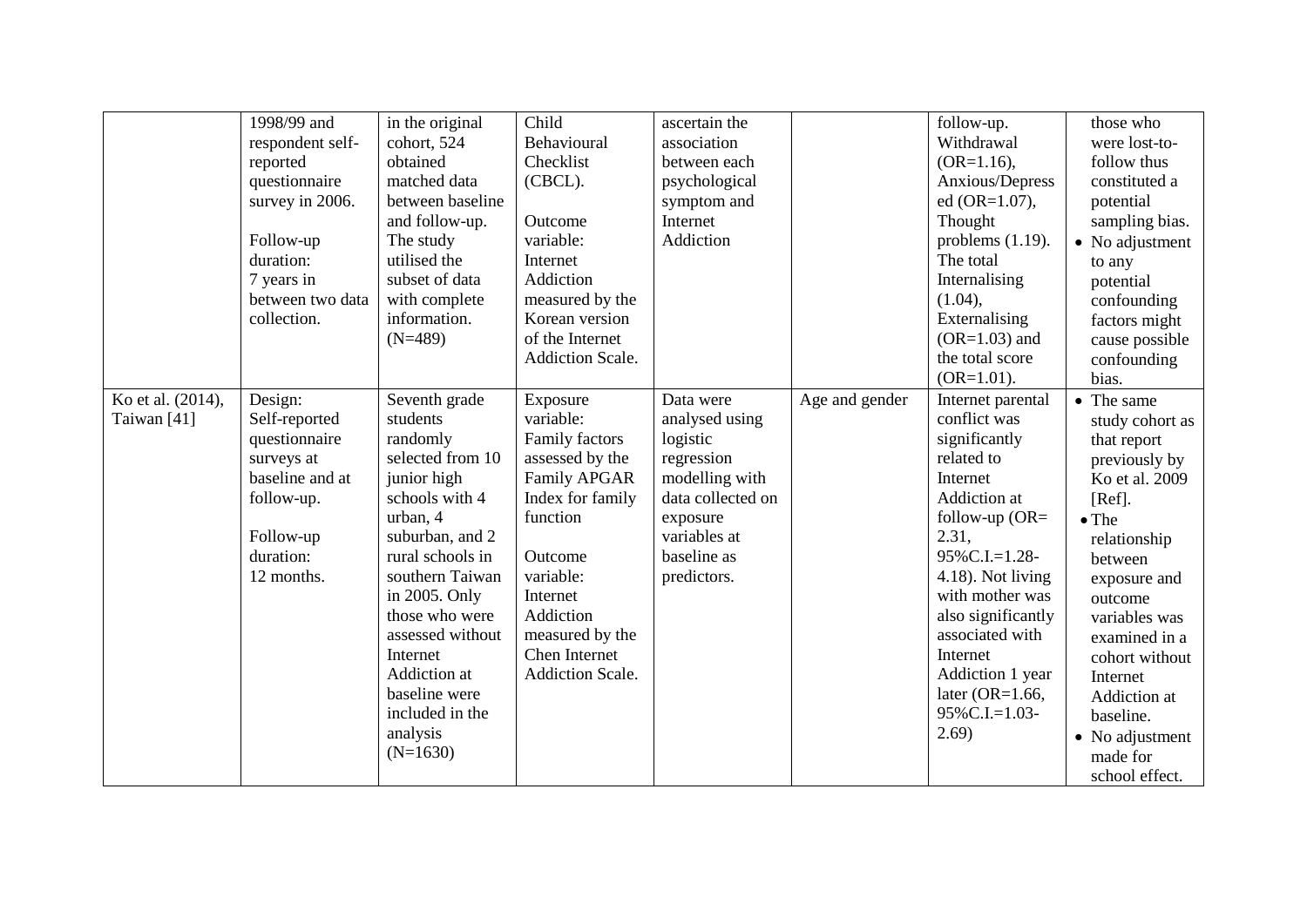|                                  | 1998/99 and<br>respondent self-<br>reported<br>questionnaire<br>survey in 2006.<br>Follow-up<br>duration:<br>7 years in<br>between two data<br>collection. | in the original<br>cohort, 524<br>obtained<br>matched data<br>between baseline<br>and follow-up.<br>The study<br>utilised the<br>subset of data<br>with complete<br>information.<br>$(N=489)$                                                                                                                     | Child<br>Behavioural<br>Checklist<br>(CBCL).<br>Outcome<br>variable:<br>Internet<br>Addiction<br>measured by the<br>Korean version<br>of the Internet<br>Addiction Scale.                                           | ascertain the<br>association<br>between each<br>psychological<br>symptom and<br>Internet<br>Addiction                                                  |                | follow-up.<br>Withdrawal<br>$(OR=1.16),$<br>Anxious/Depress<br>ed $(OR=1.07)$ ,<br>Thought<br>problems $(1.19)$ .<br>The total<br>Internalising<br>(1.04),<br>Externalising<br>$(OR=1.03)$ and<br>the total score<br>$(OR=1.01)$ .                                                                             | those who<br>were lost-to-<br>follow thus<br>constituted a<br>potential<br>sampling bias.<br>• No adjustment<br>to any<br>potential<br>confounding<br>factors might<br>cause possible<br>confounding<br>bias.                                                                                                  |
|----------------------------------|------------------------------------------------------------------------------------------------------------------------------------------------------------|-------------------------------------------------------------------------------------------------------------------------------------------------------------------------------------------------------------------------------------------------------------------------------------------------------------------|---------------------------------------------------------------------------------------------------------------------------------------------------------------------------------------------------------------------|--------------------------------------------------------------------------------------------------------------------------------------------------------|----------------|----------------------------------------------------------------------------------------------------------------------------------------------------------------------------------------------------------------------------------------------------------------------------------------------------------------|----------------------------------------------------------------------------------------------------------------------------------------------------------------------------------------------------------------------------------------------------------------------------------------------------------------|
| Ko et al. (2014),<br>Taiwan [41] | Design:<br>Self-reported<br>questionnaire<br>surveys at<br>baseline and at<br>follow-up.<br>Follow-up<br>duration:<br>12 months.                           | Seventh grade<br>students<br>randomly<br>selected from 10<br>junior high<br>schools with 4<br>urban, 4<br>suburban, and 2<br>rural schools in<br>southern Taiwan<br>in 2005. Only<br>those who were<br>assessed without<br>Internet<br>Addiction at<br>baseline were<br>included in the<br>analysis<br>$(N=1630)$ | Exposure<br>variable:<br>Family factors<br>assessed by the<br>Family APGAR<br>Index for family<br>function<br>Outcome<br>variable:<br>Internet<br>Addiction<br>measured by the<br>Chen Internet<br>Addiction Scale. | Data were<br>analysed using<br>logistic<br>regression<br>modelling with<br>data collected on<br>exposure<br>variables at<br>baseline as<br>predictors. | Age and gender | Internet parental<br>conflict was<br>significantly<br>related to<br>Internet<br>Addiction at<br>follow-up $(OR=$<br>2.31,<br>95% C.I.=1.28-<br>4.18). Not living<br>with mother was<br>also significantly<br>associated with<br>Internet<br>Addiction 1 year<br>later (OR= $1.66$ ,<br>95% C.I.=1.03-<br>2.69) | • The same<br>study cohort as<br>that report<br>previously by<br>Ko et al. 2009<br>[Ref].<br>$\bullet$ The<br>relationship<br>between<br>exposure and<br>outcome<br>variables was<br>examined in a<br>cohort without<br>Internet<br>Addiction at<br>baseline.<br>• No adjustment<br>made for<br>school effect. |